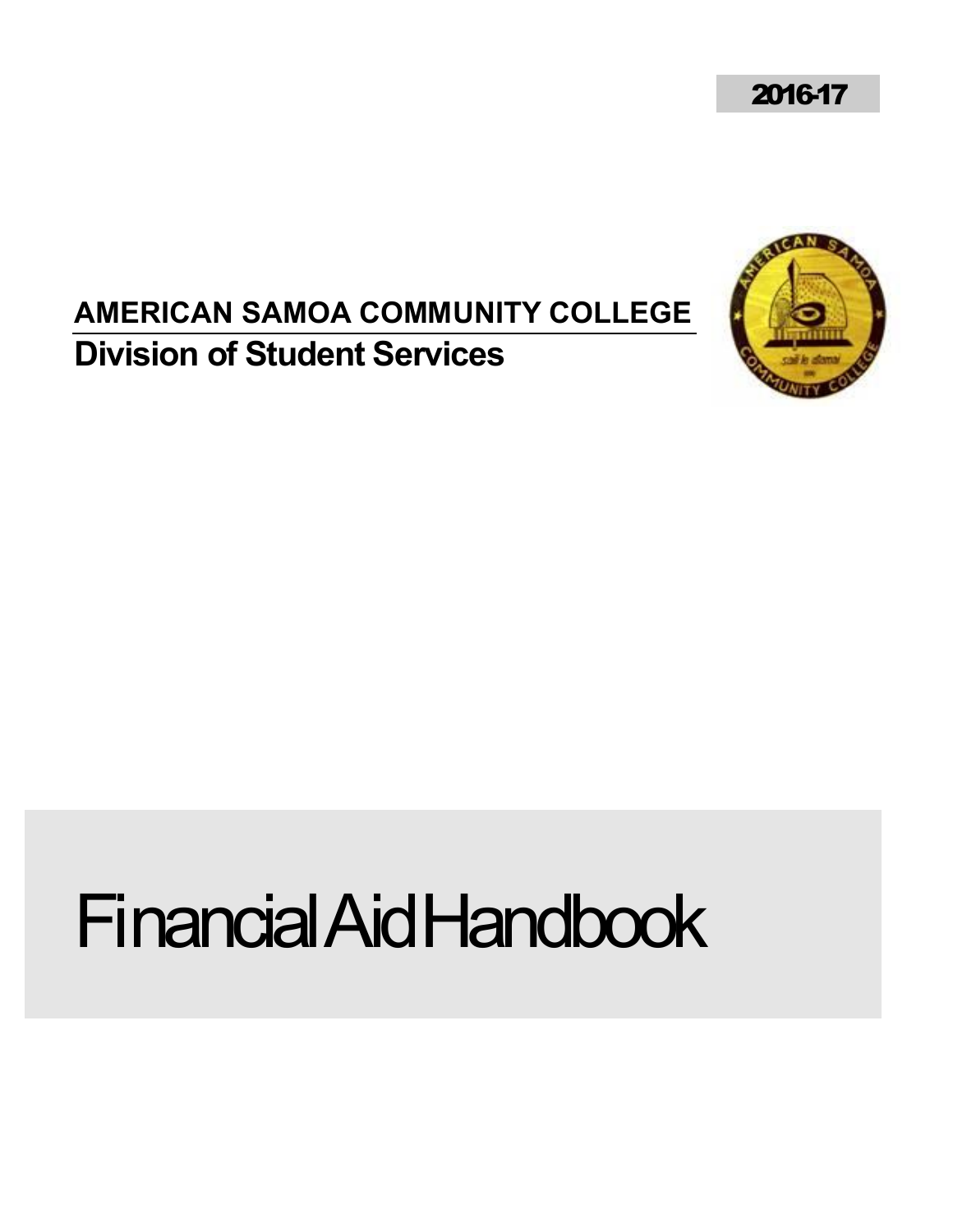2016-17

## **AMERICAN SAMOA COMMUNITY COLLEGE Division of Student Services**



# Financial Aid Handbook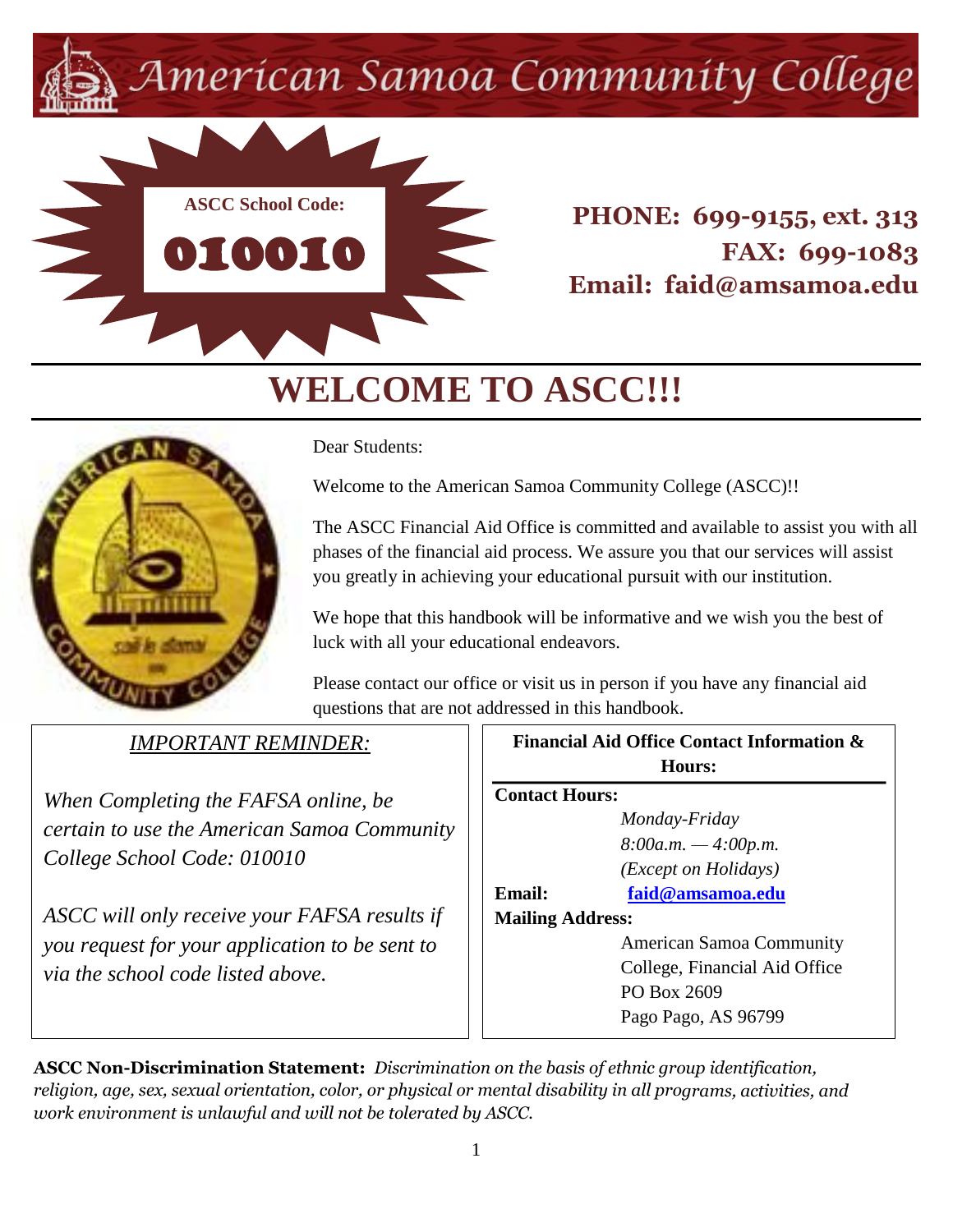American Samoa Community College



**PHONE: 699-9155, ext. 313 FAX: 699-1083 Email: faid@amsamoa.edu**

# **WELCOME TO ASCC!!!**



Dear Students:

Welcome to the American Samoa Community College (ASCC)!!

The ASCC Financial Aid Office is committed and available to assist you with all phases of the financial aid process. We assure you that our services will assist you greatly in achieving your educational pursuit with our institution.

We hope that this handbook will be informative and we wish you the best of luck with all your educational endeavors.

Please contact our office or visit us in person if you have any financial aid questions that are not addressed in this handbook.

## *IMPORTANT REMINDER:*

*When Completing the FAFSA online, be certain to use the American Samoa Community College School Code: 010010*

*ASCC will only receive your FAFSA results if you request for your application to be sent to via the school code listed above.*

| <b>Financial Aid Office Contact Information &amp;</b> |                                 |  |
|-------------------------------------------------------|---------------------------------|--|
| <b>Hours:</b>                                         |                                 |  |
| <b>Contact Hours:</b>                                 |                                 |  |
|                                                       | Monday-Friday                   |  |
|                                                       | $8:00a.m. -4:00p.m.$            |  |
| ( <i>Except on Holidays</i> )                         |                                 |  |
| Email:                                                | faid@amsamoa.edu                |  |
| <b>Mailing Address:</b>                               |                                 |  |
|                                                       | <b>American Samoa Community</b> |  |
| College, Financial Aid Office                         |                                 |  |
| PO Box 2609                                           |                                 |  |
|                                                       | Pago Pago, AS 96799             |  |
|                                                       |                                 |  |

**ASCC Non-Discrimination Statement:** *Discrimination on the basis of ethnic group identification, religion, age, sex, sexual orientation, color, or physical or mental disability in all programs, activities, and work environment is unlawful and will not be tolerated by ASCC.*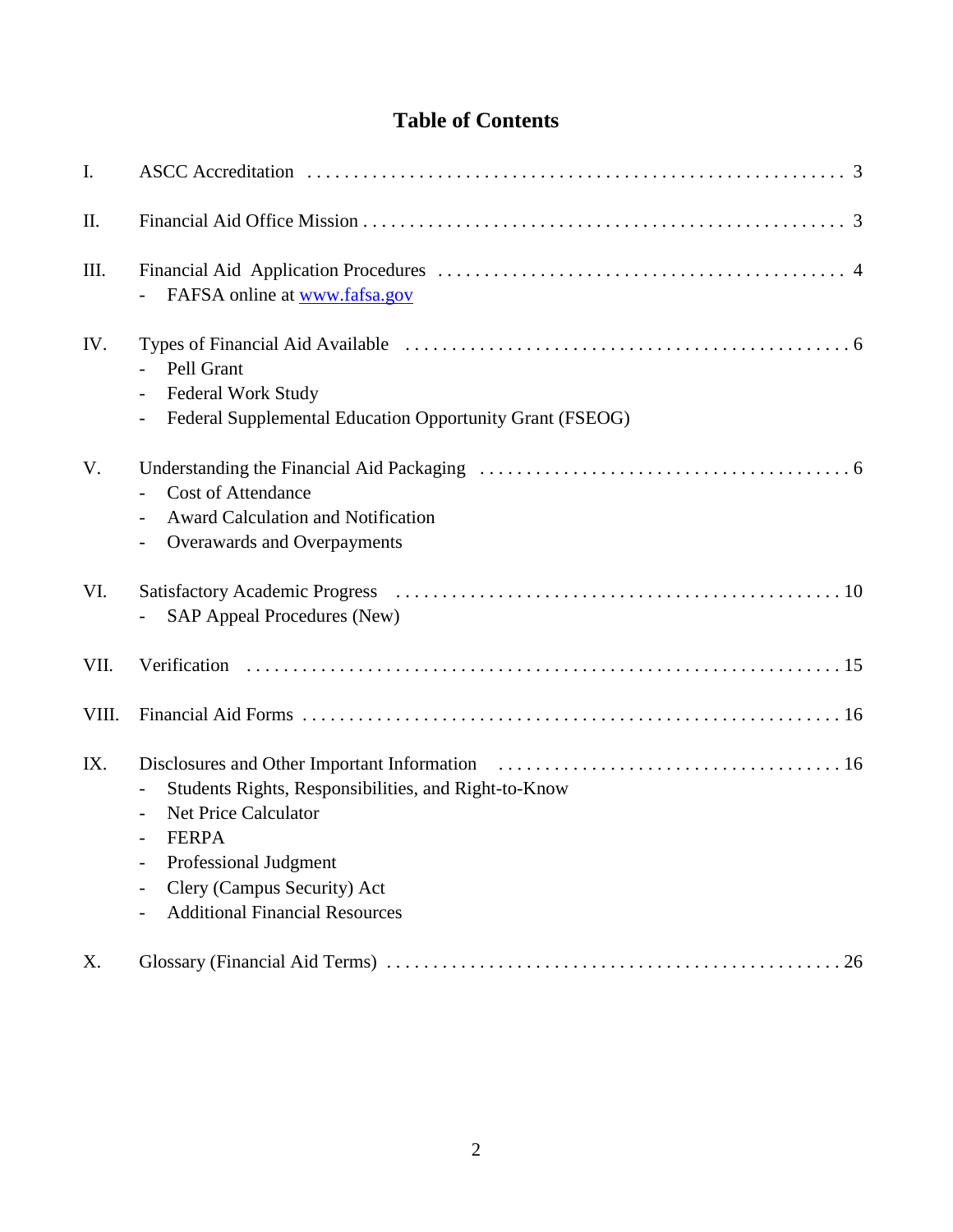## **Table of Contents**

| I.    |                                                                                                                                                                                                                                  |
|-------|----------------------------------------------------------------------------------------------------------------------------------------------------------------------------------------------------------------------------------|
| II.   |                                                                                                                                                                                                                                  |
| III.  | FAFSA online at www.fafsa.gov                                                                                                                                                                                                    |
| IV.   | Pell Grant<br>Federal Work Study<br>Federal Supplemental Education Opportunity Grant (FSEOG)                                                                                                                                     |
| V.    | <b>Cost of Attendance</b><br>Award Calculation and Notification<br>Overawards and Overpayments                                                                                                                                   |
| VI.   | <b>SAP Appeal Procedures (New)</b>                                                                                                                                                                                               |
| VII.  |                                                                                                                                                                                                                                  |
| VIII. |                                                                                                                                                                                                                                  |
| IX.   | Students Rights, Responsibilities, and Right-to-Know<br><b>Net Price Calculator</b><br>$\overline{\phantom{a}}$<br><b>FERPA</b><br>Professional Judgment<br>Clery (Campus Security) Act<br><b>Additional Financial Resources</b> |
| X.    |                                                                                                                                                                                                                                  |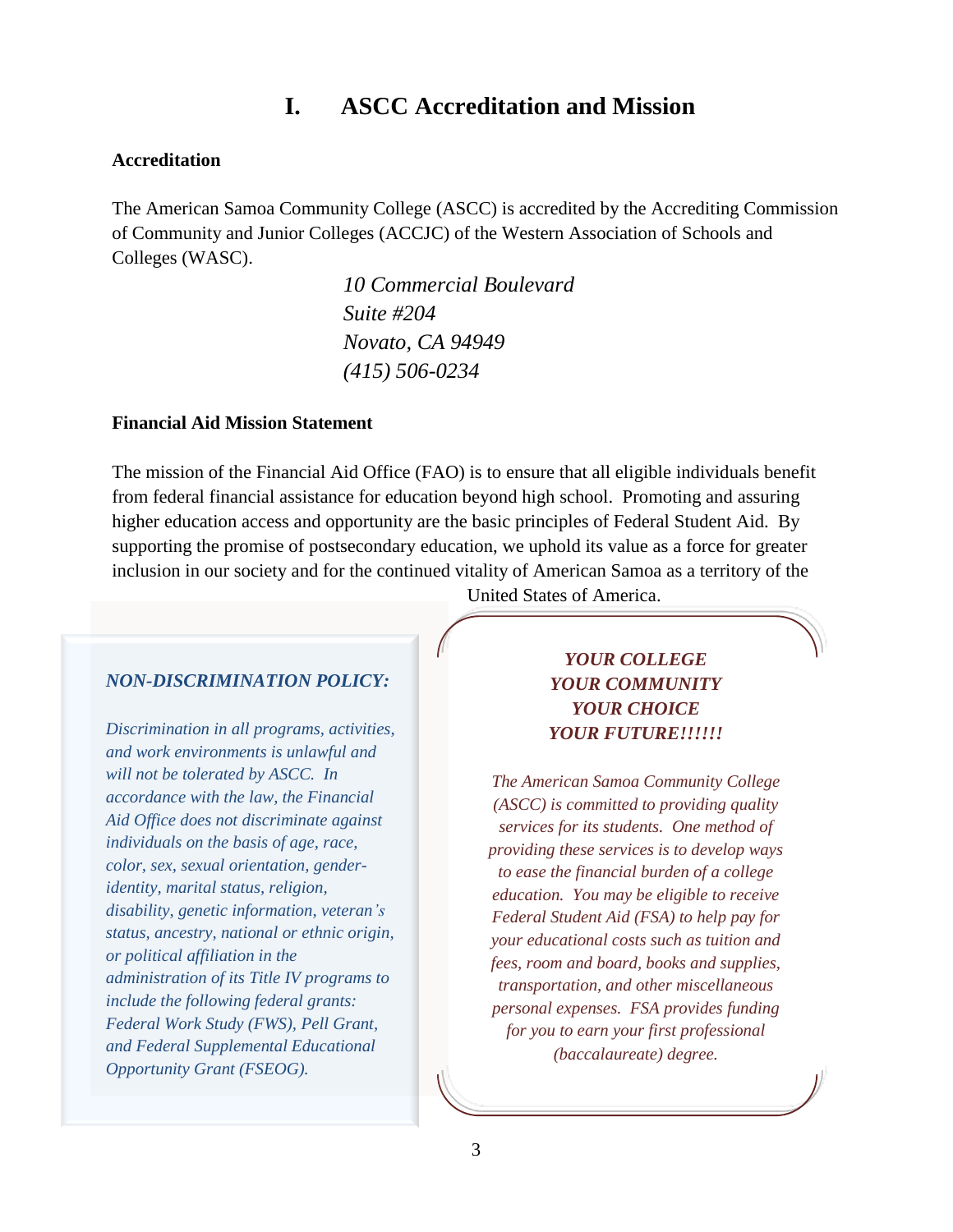## **I. ASCC Accreditation and Mission**

#### **Accreditation**

The American Samoa Community College (ASCC) is accredited by the Accrediting Commission of Community and Junior Colleges (ACCJC) of the Western Association of Schools and Colleges (WASC).

> *10 Commercial Boulevard Suite #204 Novato, CA 94949 (415) 506-0234*

#### **Financial Aid Mission Statement**

The mission of the Financial Aid Office (FAO) is to ensure that all eligible individuals benefit from federal financial assistance for education beyond high school. Promoting and assuring higher education access and opportunity are the basic principles of Federal Student Aid. By supporting the promise of postsecondary education, we uphold its value as a force for greater inclusion in our society and for the continued vitality of American Samoa as a territory of the

#### *NON-DISCRIMINATION POLICY:*

*Discrimination in all programs, activities, and work environments is unlawful and will not be tolerated by ASCC. In accordance with the law, the Financial Aid Office does not discriminate against individuals on the basis of age, race, color, sex, sexual orientation, genderidentity, marital status, religion, disability, genetic information, veteran's status, ancestry, national or ethnic origin, or political affiliation in the administration of its Title IV programs to include the following federal grants: Federal Work Study (FWS), Pell Grant, and Federal Supplemental Educational Opportunity Grant (FSEOG).*

United States of America.

#### *YOUR COLLEGE YOUR COMMUNITY YOUR CHOICE YOUR FUTURE!!!!!!*

*The American Samoa Community College (ASCC) is committed to providing quality services for its students. One method of providing these services is to develop ways to ease the financial burden of a college education. You may be eligible to receive Federal Student Aid (FSA) to help pay for your educational costs such as tuition and fees, room and board, books and supplies, transportation, and other miscellaneous personal expenses. FSA provides funding for you to earn your first professional (baccalaureate) degree.*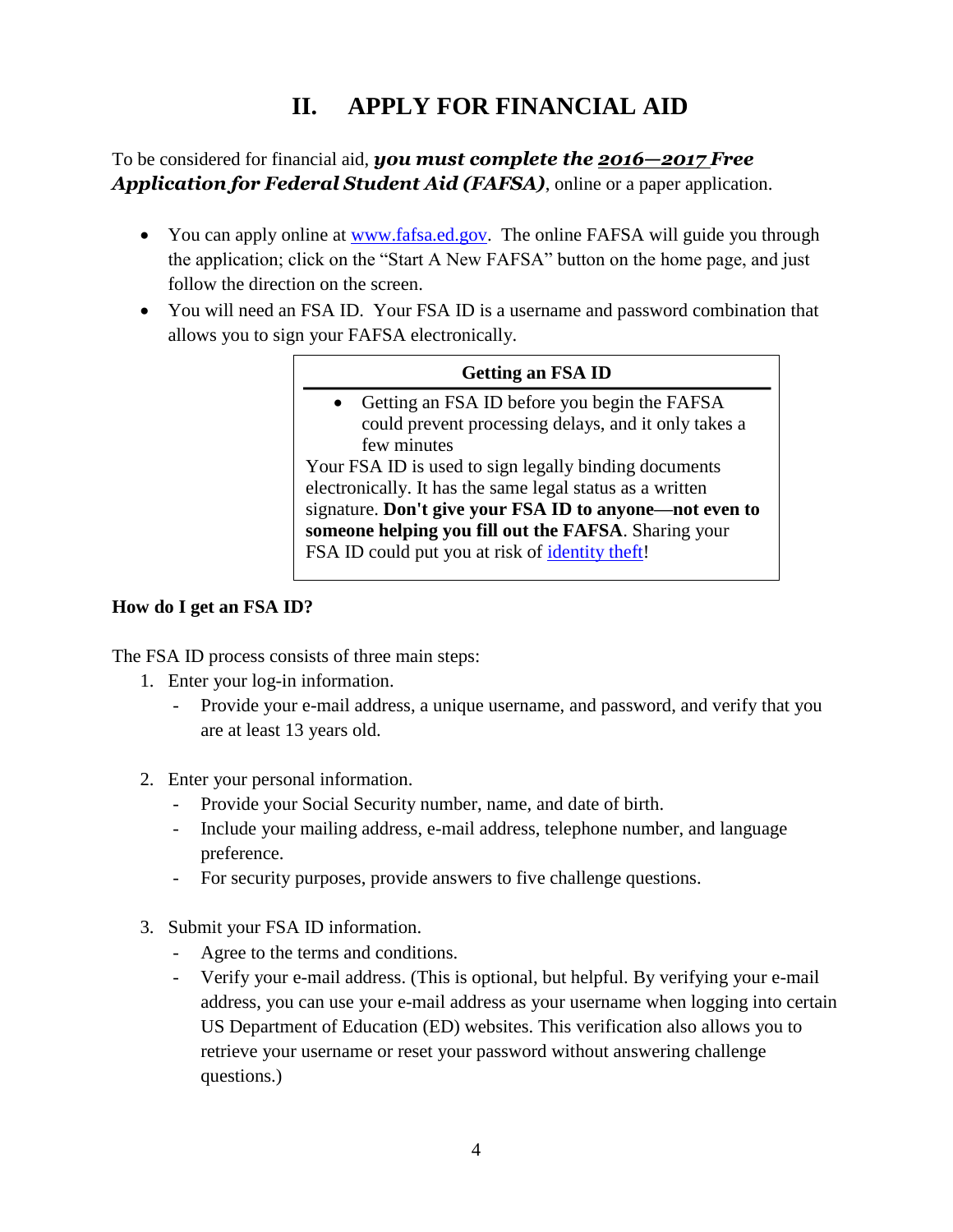## **II. APPLY FOR FINANCIAL AID**

#### To be considered for financial aid, *you must complete the 2016—2017 Free Application for Federal Student Aid (FAFSA)*, online or a paper application.

- You can apply online at [www.fafsa.ed.gov.](http://www.fafsa.ed.gov/) The online FAFSA will guide you through the application; click on the "Start A New FAFSA" button on the home page, and just follow the direction on the screen.
- You will need an FSA ID. Your FSA ID is a username and password combination that allows you to sign your FAFSA electronically.

#### **Getting an FSA ID**

 Getting an FSA ID before you begin the FAFSA could prevent processing delays, and it only takes a few minutes Your FSA ID is used to sign legally binding documents electronically. It has the same legal status as a written signature. **Don't give your FSA ID to anyone—not even to someone helping you fill out the FAFSA**. Sharing your FSA ID could put you at risk of identity theft!

#### **How do I get an FSA ID?**

The FSA ID process consists of three main steps:

- 1. Enter your log-in information.
	- Provide your e-mail address, a unique username, and password, and verify that you are at least 13 years old.
- 2. Enter your personal information.
	- Provide your Social Security number, name, and date of birth.
	- Include your mailing address, e-mail address, telephone number, and language preference.
	- For security purposes, provide answers to five challenge questions.
- 3. Submit your FSA ID information.
	- Agree to the terms and conditions.
	- Verify your e-mail address. (This is optional, but helpful. By verifying your e-mail address, you can use your e-mail address as your username when logging into certain US Department of Education (ED) websites. This verification also allows you to retrieve your username or reset your password without answering challenge questions.)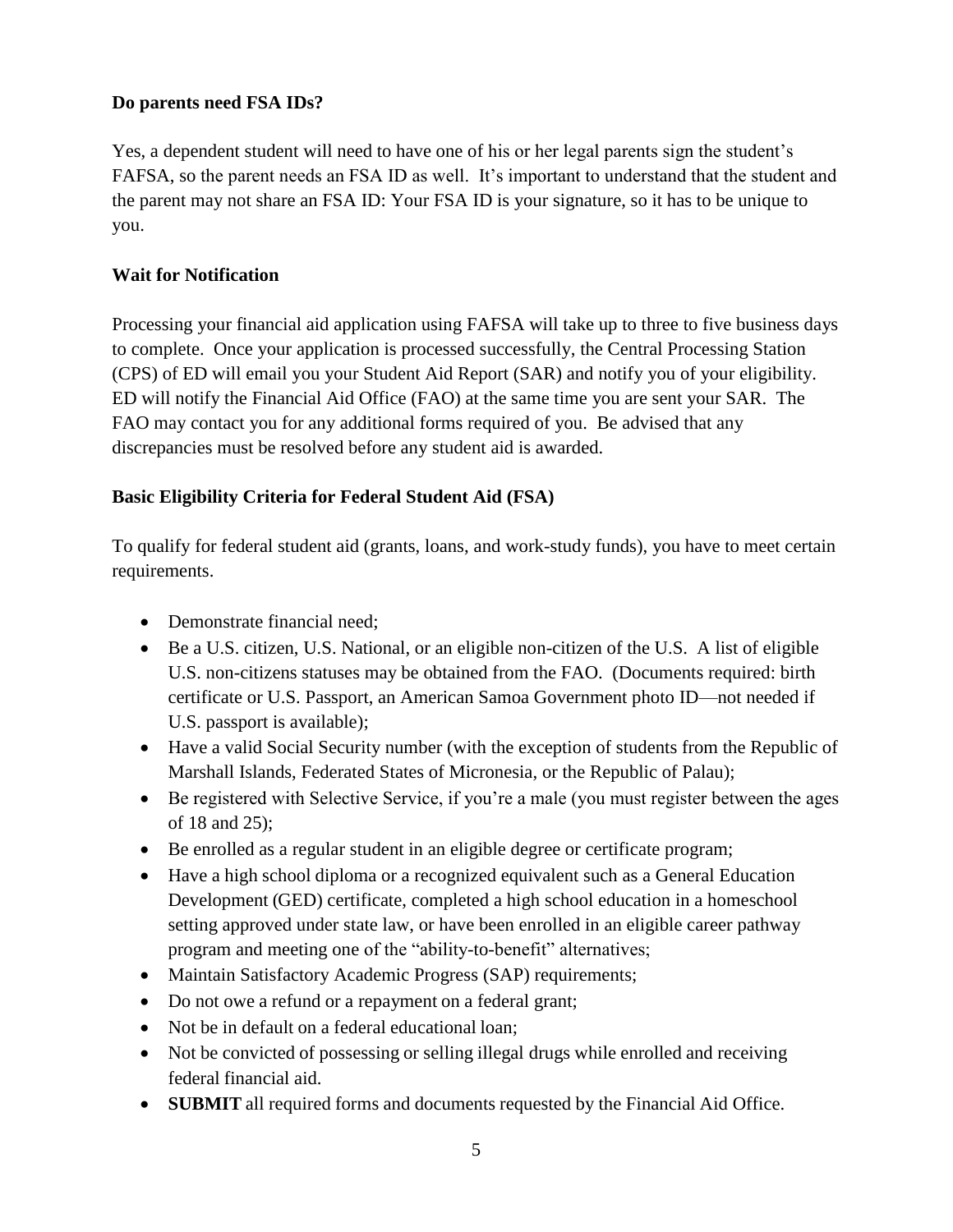#### **Do parents need FSA IDs?**

Yes, a dependent student will need to have one of his or her legal parents sign the student's FAFSA, so the parent needs an FSA ID as well. It's important to understand that the student and the parent may not share an FSA ID: Your FSA ID is your signature, so it has to be unique to you.

#### **Wait for Notification**

Processing your financial aid application using FAFSA will take up to three to five business days to complete. Once your application is processed successfully, the Central Processing Station (CPS) of ED will email you your Student Aid Report (SAR) and notify you of your eligibility. ED will notify the Financial Aid Office (FAO) at the same time you are sent your SAR. The FAO may contact you for any additional forms required of you. Be advised that any discrepancies must be resolved before any student aid is awarded.

#### **Basic Eligibility Criteria for Federal Student Aid (FSA)**

To qualify for federal student aid (grants, loans, and work-study funds), you have to meet certain requirements.

- Demonstrate financial need;
- Be a U.S. citizen, U.S. National, or an eligible non-citizen of the U.S. A list of eligible U.S. non-citizens statuses may be obtained from the FAO. (Documents required: birth certificate or U.S. Passport, an American Samoa Government photo ID—not needed if U.S. passport is available);
- Have a valid Social Security number (with the exception of students from the Republic of Marshall Islands, Federated States of Micronesia, or the Republic of Palau);
- Be registered with Selective Service, if you're a male (you must register between the ages of 18 and 25);
- Be enrolled as a regular student in an eligible degree or certificate program;
- Have a high school diploma or a recognized equivalent such as a General Education Development (GED) certificate, completed a high school education in a homeschool setting approved under state law, or have been enrolled in an eligible career pathway program and meeting one of the "ability-to-benefit" alternatives;
- Maintain Satisfactory Academic Progress (SAP) requirements;
- Do not owe a refund or a repayment on a federal grant;
- Not be in default on a federal educational loan;
- Not be convicted of possessing or selling illegal drugs while enrolled and receiving federal financial aid.
- **SUBMIT** all required forms and documents requested by the Financial Aid Office.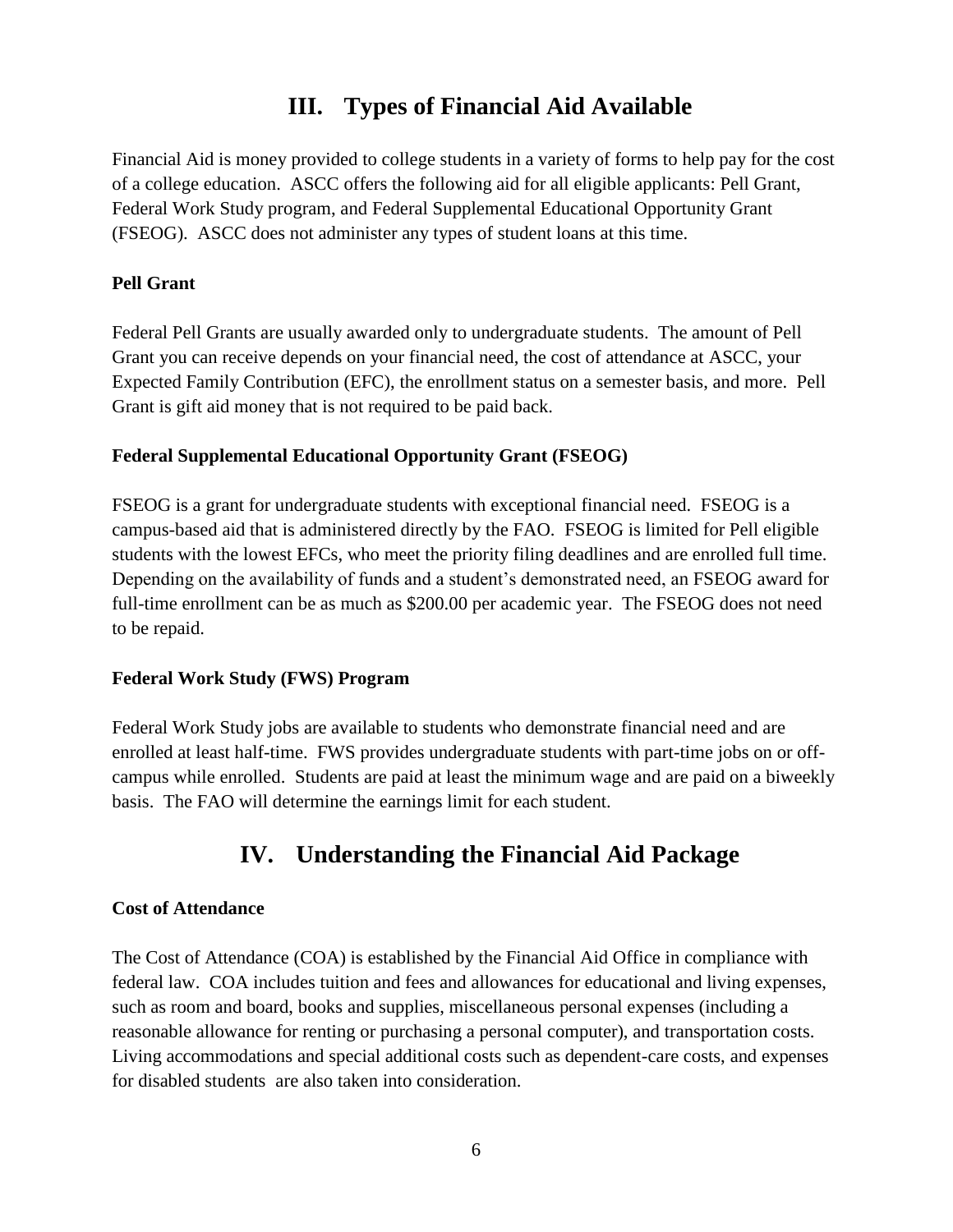## **III. Types of Financial Aid Available**

Financial Aid is money provided to college students in a variety of forms to help pay for the cost of a college education. ASCC offers the following aid for all eligible applicants: Pell Grant, Federal Work Study program, and Federal Supplemental Educational Opportunity Grant (FSEOG). ASCC does not administer any types of student loans at this time.

#### **Pell Grant**

Federal Pell Grants are usually awarded only to undergraduate students. The amount of Pell Grant you can receive depends on your financial need, the cost of attendance at ASCC, your Expected Family Contribution (EFC), the enrollment status on a semester basis, and more. Pell Grant is gift aid money that is not required to be paid back.

#### **Federal Supplemental Educational Opportunity Grant (FSEOG)**

FSEOG is a grant for undergraduate students with exceptional financial need. FSEOG is a campus-based aid that is administered directly by the FAO. FSEOG is limited for Pell eligible students with the lowest EFCs, who meet the priority filing deadlines and are enrolled full time. Depending on the availability of funds and a student's demonstrated need, an FSEOG award for full-time enrollment can be as much as \$200.00 per academic year. The FSEOG does not need to be repaid.

#### **Federal Work Study (FWS) Program**

Federal Work Study jobs are available to students who demonstrate financial need and are enrolled at least half-time. FWS provides undergraduate students with part-time jobs on or offcampus while enrolled. Students are paid at least the minimum wage and are paid on a biweekly basis. The FAO will determine the earnings limit for each student.

## **IV. Understanding the Financial Aid Package**

#### **Cost of Attendance**

The Cost of Attendance (COA) is established by the Financial Aid Office in compliance with federal law. COA includes tuition and fees and allowances for educational and living expenses, such as room and board, books and supplies, miscellaneous personal expenses (including a reasonable allowance for renting or purchasing a personal computer), and transportation costs. Living accommodations and special additional costs such as dependent-care costs, and expenses for disabled students are also taken into consideration.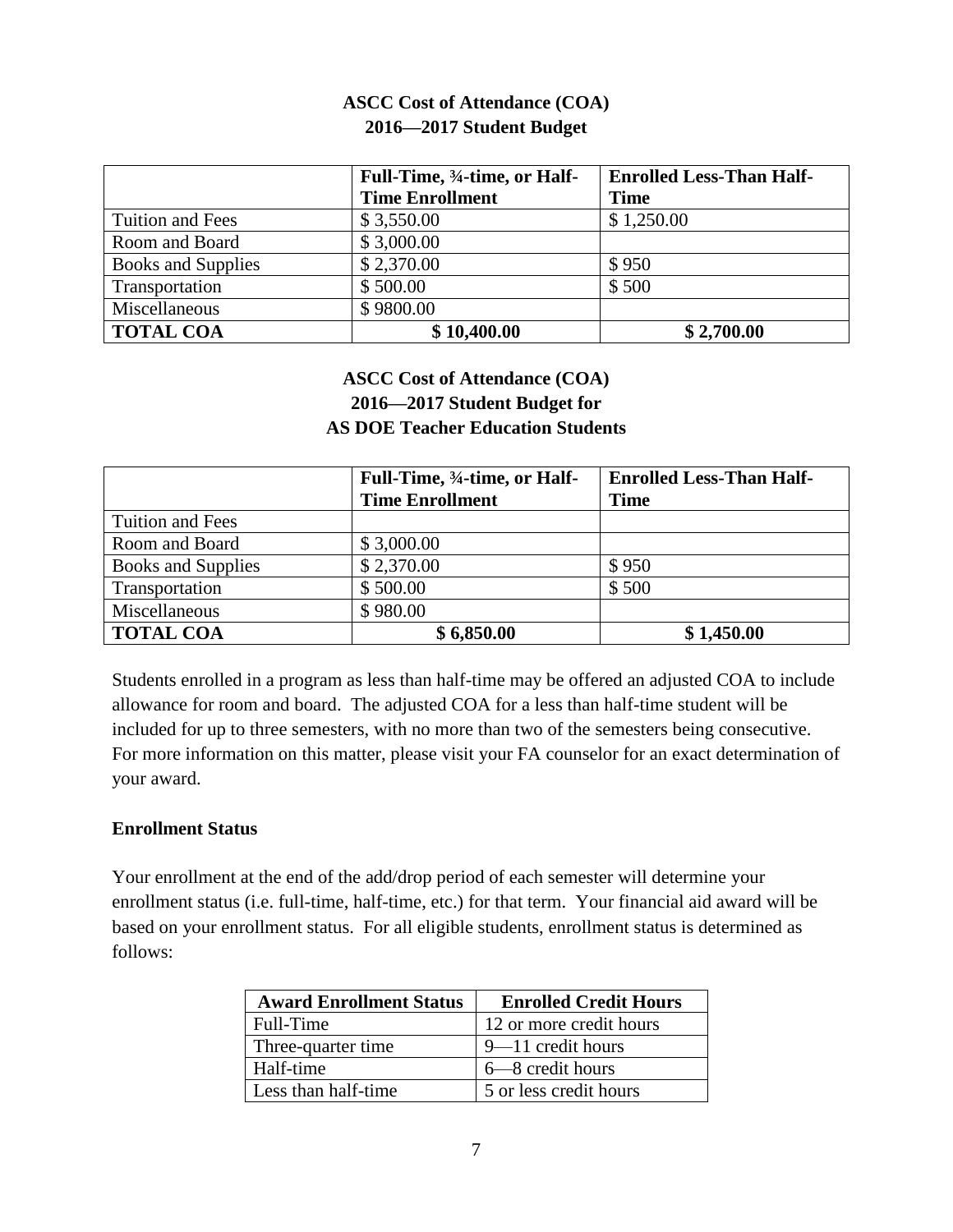#### **ASCC Cost of Attendance (COA) 2016—2017 Student Budget**

|                           | Full-Time, 34-time, or Half-<br><b>Time Enrollment</b> | <b>Enrolled Less-Than Half-</b><br><b>Time</b> |
|---------------------------|--------------------------------------------------------|------------------------------------------------|
| <b>Tuition and Fees</b>   | \$3,550.00                                             | \$1,250.00                                     |
| Room and Board            | \$3,000.00                                             |                                                |
| <b>Books and Supplies</b> | \$2,370.00                                             | \$950                                          |
| Transportation            | \$500.00                                               | \$500                                          |
| Miscellaneous             | \$9800.00                                              |                                                |
| <b>TOTAL COA</b>          | \$10,400.00                                            | \$2,700.00                                     |

#### **ASCC Cost of Attendance (COA) 2016—2017 Student Budget for AS DOE Teacher Education Students**

|                           | Full-Time, 34-time, or Half-<br><b>Time Enrollment</b> | <b>Enrolled Less-Than Half-</b><br><b>Time</b> |
|---------------------------|--------------------------------------------------------|------------------------------------------------|
| <b>Tuition and Fees</b>   |                                                        |                                                |
| Room and Board            | \$3,000.00                                             |                                                |
| <b>Books and Supplies</b> | \$2,370.00                                             | \$950                                          |
| Transportation            | \$500.00                                               | \$500                                          |
| Miscellaneous             | \$980.00                                               |                                                |
| <b>TOTAL COA</b>          | \$6,850.00                                             | \$1,450.00                                     |

Students enrolled in a program as less than half-time may be offered an adjusted COA to include allowance for room and board. The adjusted COA for a less than half-time student will be included for up to three semesters, with no more than two of the semesters being consecutive. For more information on this matter, please visit your FA counselor for an exact determination of your award.

#### **Enrollment Status**

Your enrollment at the end of the add/drop period of each semester will determine your enrollment status (i.e. full-time, half-time, etc.) for that term. Your financial aid award will be based on your enrollment status. For all eligible students, enrollment status is determined as follows:

| <b>Award Enrollment Status</b> | <b>Enrolled Credit Hours</b> |
|--------------------------------|------------------------------|
| Full-Time                      | 12 or more credit hours      |
| Three-quarter time             | $9 - 11$ credit hours        |
| Half-time                      | 6–8 credit hours             |
| Less than half-time            | 5 or less credit hours       |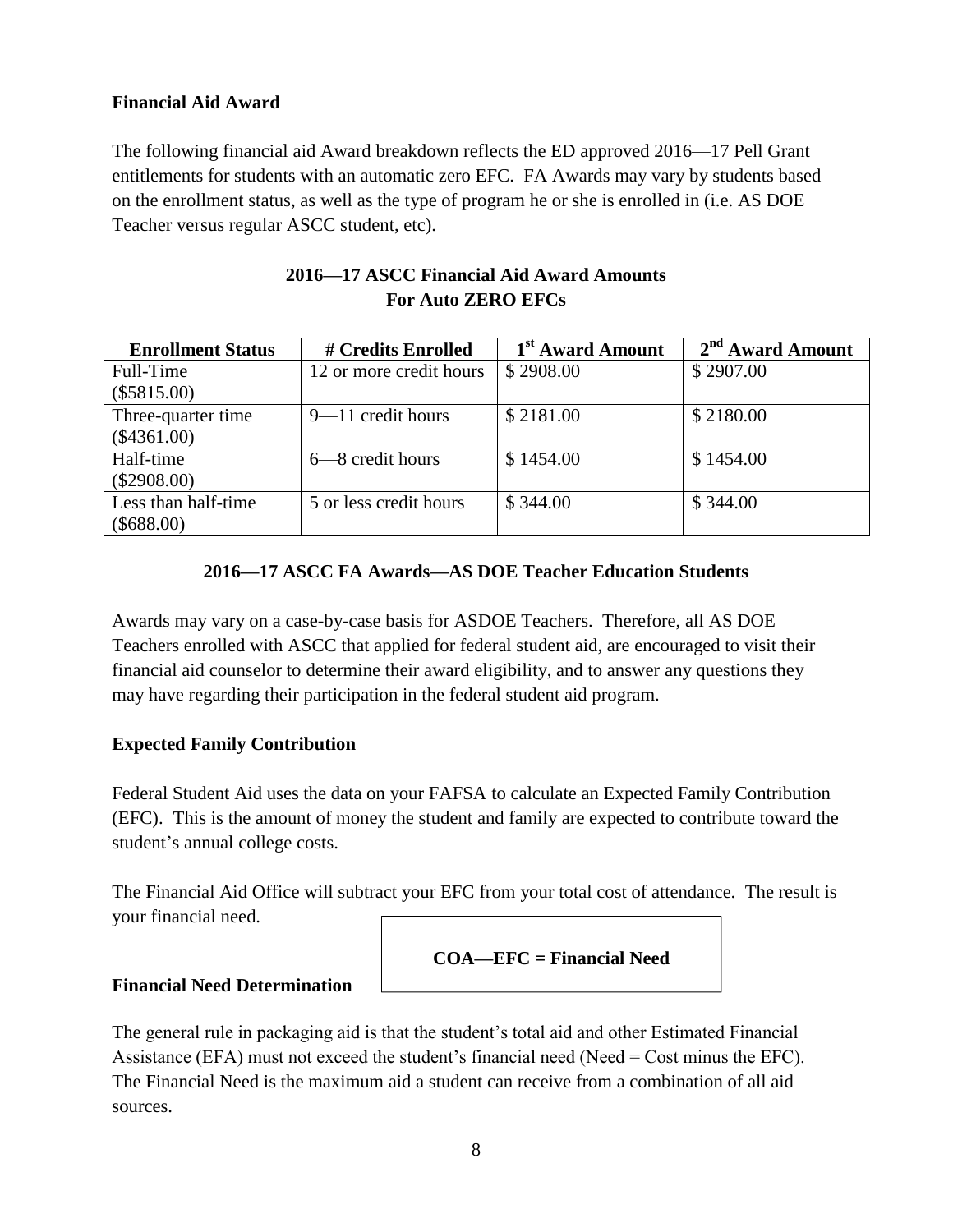#### **Financial Aid Award**

The following financial aid Award breakdown reflects the ED approved 2016—17 Pell Grant entitlements for students with an automatic zero EFC. FA Awards may vary by students based on the enrollment status, as well as the type of program he or she is enrolled in (i.e. AS DOE Teacher versus regular ASCC student, etc).

| 2016—17 ASCC Financial Aid Award Amounts |
|------------------------------------------|
| <b>For Auto ZERO EFCs</b>                |

| <b>Enrollment Status</b> | # Credits Enrolled      | 1 <sup>st</sup> Award Amount | $2nd$ Award Amount |
|--------------------------|-------------------------|------------------------------|--------------------|
| Full-Time                | 12 or more credit hours | \$2908.00                    | \$2907.00          |
| $(\$5815.00)$            |                         |                              |                    |
| Three-quarter time       | $9 - 11$ credit hours   | \$2181.00                    | \$2180.00          |
| $(\$4361.00)$            |                         |                              |                    |
| Half-time                | $6 - 8$ credit hours    | \$1454.00                    | \$1454.00          |
| $(\$2908.00)$            |                         |                              |                    |
| Less than half-time      | 5 or less credit hours  | \$344.00                     | \$344.00           |
| $(\$688.00)$             |                         |                              |                    |

#### **2016—17 ASCC FA Awards—AS DOE Teacher Education Students**

Awards may vary on a case-by-case basis for ASDOE Teachers. Therefore, all AS DOE Teachers enrolled with ASCC that applied for federal student aid, are encouraged to visit their financial aid counselor to determine their award eligibility, and to answer any questions they may have regarding their participation in the federal student aid program.

#### **Expected Family Contribution**

Federal Student Aid uses the data on your FAFSA to calculate an Expected Family Contribution (EFC). This is the amount of money the student and family are expected to contribute toward the student's annual college costs.

The Financial Aid Office will subtract your EFC from your total cost of attendance. The result is your financial need.

**COA—EFC = Financial Need**

#### **Financial Need Determination**

The general rule in packaging aid is that the student's total aid and other Estimated Financial Assistance (EFA) must not exceed the student's financial need (Need = Cost minus the EFC). The Financial Need is the maximum aid a student can receive from a combination of all aid sources.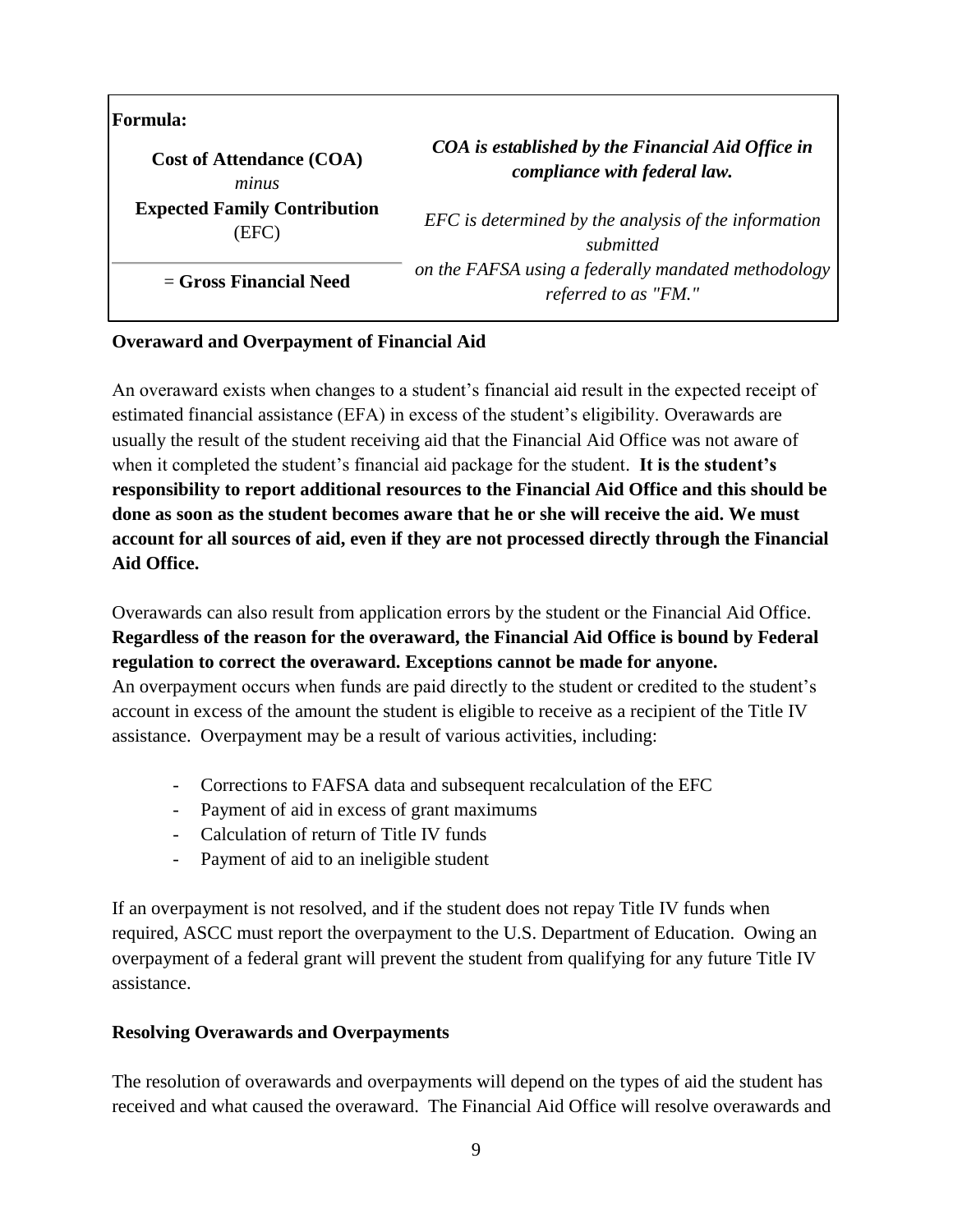| <b>Formula:</b>                     |                                                                             |
|-------------------------------------|-----------------------------------------------------------------------------|
| <b>Cost of Attendance (COA)</b>     | COA is established by the Financial Aid Office in                           |
| minus                               | compliance with federal law.                                                |
| <b>Expected Family Contribution</b> | EFC is determined by the analysis of the information                        |
| (EFC)                               | submitted                                                                   |
| $=$ Gross Financial Need            | on the FAFSA using a federally mandated methodology<br>referred to as "FM." |

#### **Overaward and Overpayment of Financial Aid**

An overaward exists when changes to a student's financial aid result in the expected receipt of estimated financial assistance (EFA) in excess of the student's eligibility. Overawards are usually the result of the student receiving aid that the Financial Aid Office was not aware of when it completed the student's financial aid package for the student. **It is the student's responsibility to report additional resources to the Financial Aid Office and this should be done as soon as the student becomes aware that he or she will receive the aid. We must account for all sources of aid, even if they are not processed directly through the Financial Aid Office.**

Overawards can also result from application errors by the student or the Financial Aid Office. **Regardless of the reason for the overaward, the Financial Aid Office is bound by Federal regulation to correct the overaward. Exceptions cannot be made for anyone.** An overpayment occurs when funds are paid directly to the student or credited to the student's account in excess of the amount the student is eligible to receive as a recipient of the Title IV assistance. Overpayment may be a result of various activities, including:

- Corrections to FAFSA data and subsequent recalculation of the EFC
- Payment of aid in excess of grant maximums
- Calculation of return of Title IV funds
- Payment of aid to an ineligible student

If an overpayment is not resolved, and if the student does not repay Title IV funds when required, ASCC must report the overpayment to the U.S. Department of Education. Owing an overpayment of a federal grant will prevent the student from qualifying for any future Title IV assistance.

#### **Resolving Overawards and Overpayments**

The resolution of overawards and overpayments will depend on the types of aid the student has received and what caused the overaward. The Financial Aid Office will resolve overawards and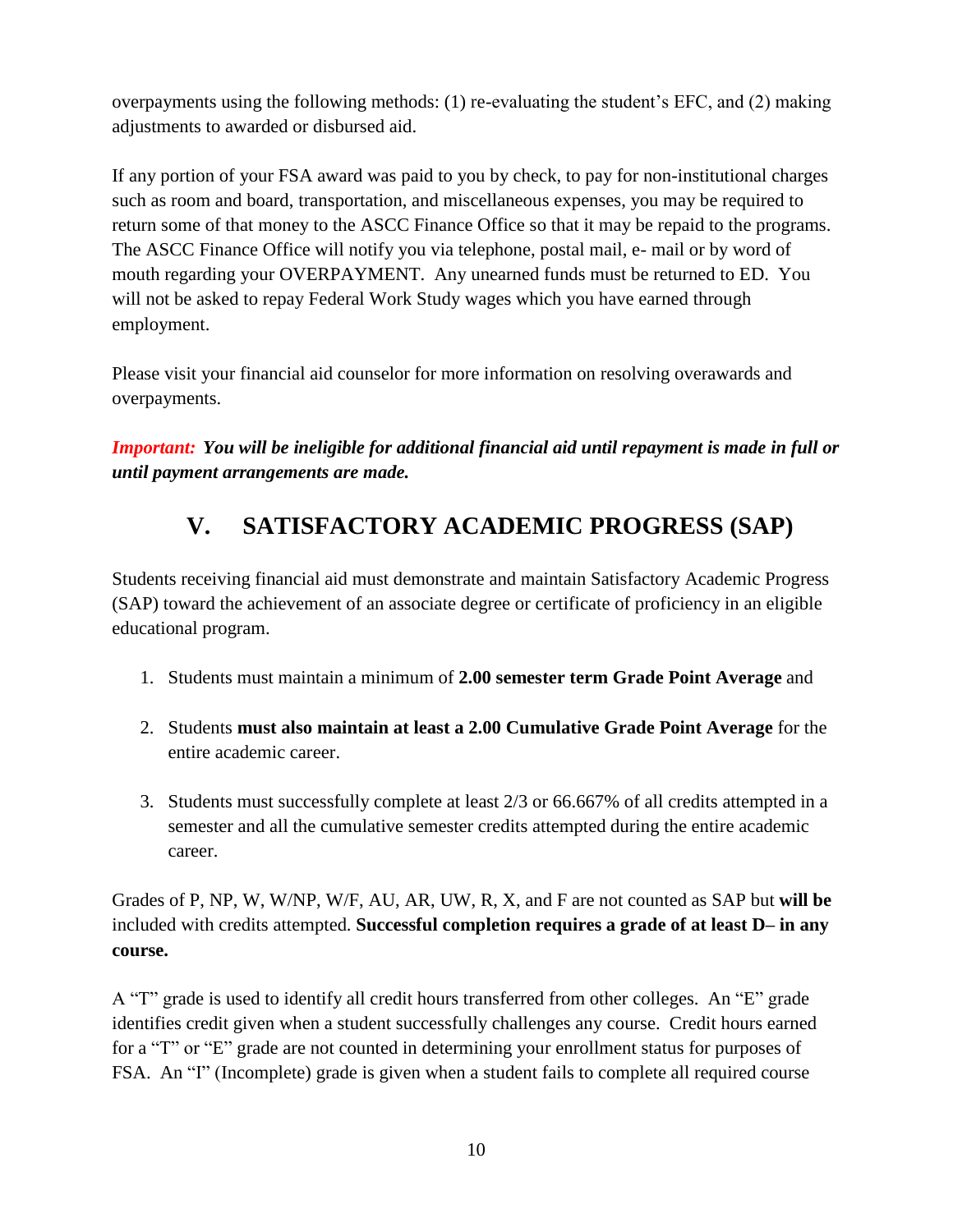overpayments using the following methods: (1) re-evaluating the student's EFC, and (2) making adjustments to awarded or disbursed aid.

If any portion of your FSA award was paid to you by check, to pay for non-institutional charges such as room and board, transportation, and miscellaneous expenses, you may be required to return some of that money to the ASCC Finance Office so that it may be repaid to the programs. The ASCC Finance Office will notify you via telephone, postal mail, e- mail or by word of mouth regarding your OVERPAYMENT. Any unearned funds must be returned to ED. You will not be asked to repay Federal Work Study wages which you have earned through employment.

Please visit your financial aid counselor for more information on resolving overawards and overpayments.

*Important: You will be ineligible for additional financial aid until repayment is made in full or until payment arrangements are made.*

## **V. SATISFACTORY ACADEMIC PROGRESS (SAP)**

Students receiving financial aid must demonstrate and maintain Satisfactory Academic Progress (SAP) toward the achievement of an associate degree or certificate of proficiency in an eligible educational program.

- 1. Students must maintain a minimum of **2.00 semester term Grade Point Average** and
- 2. Students **must also maintain at least a 2.00 Cumulative Grade Point Average** for the entire academic career.
- 3. Students must successfully complete at least 2/3 or 66.667% of all credits attempted in a semester and all the cumulative semester credits attempted during the entire academic career.

Grades of P, NP, W, W/NP, W/F, AU, AR, UW, R, X, and F are not counted as SAP but **will be** included with credits attempted. **Successful completion requires a grade of at least D– in any course.**

A "T" grade is used to identify all credit hours transferred from other colleges. An "E" grade identifies credit given when a student successfully challenges any course. Credit hours earned for a "T" or "E" grade are not counted in determining your enrollment status for purposes of FSA. An "I" (Incomplete) grade is given when a student fails to complete all required course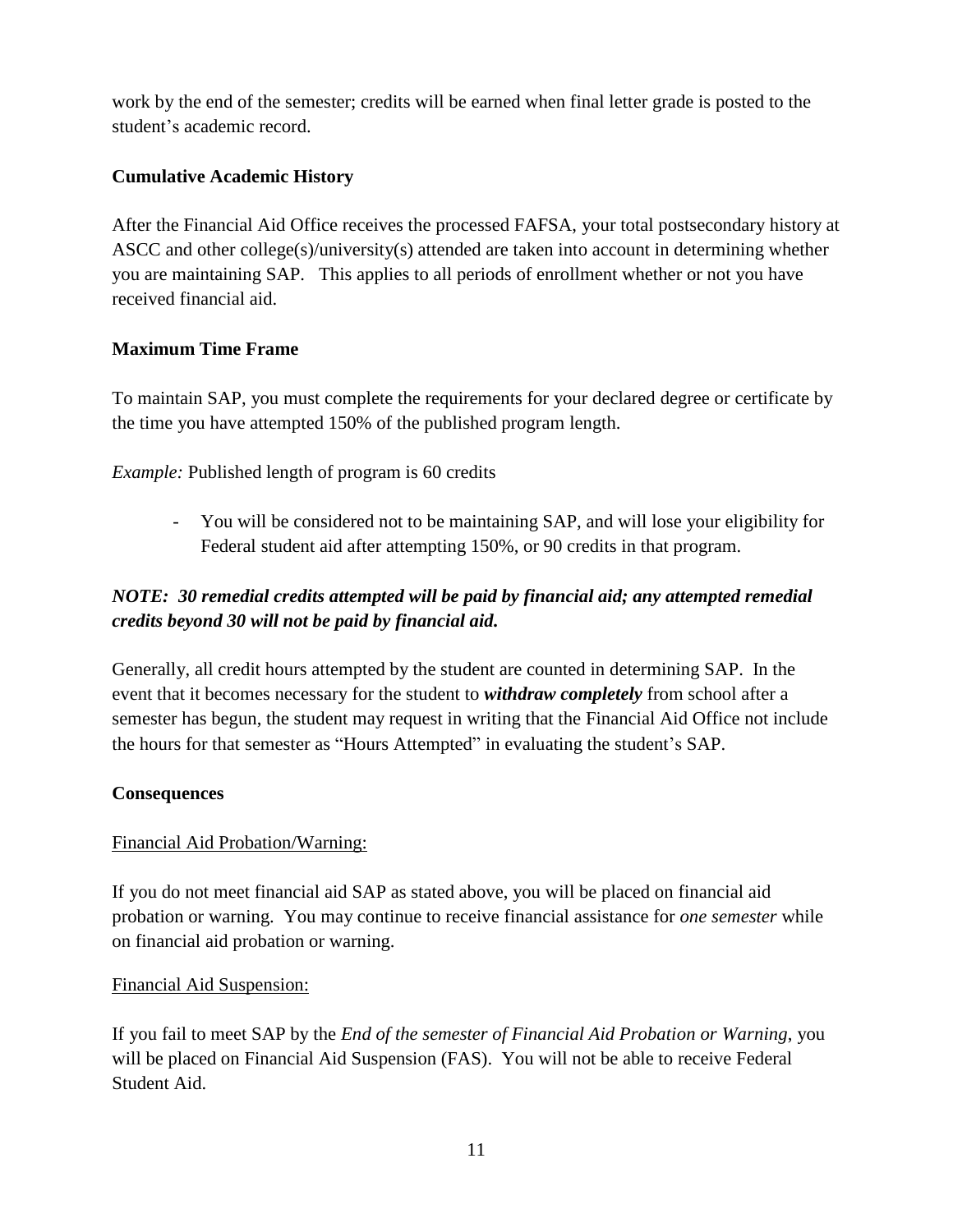work by the end of the semester; credits will be earned when final letter grade is posted to the student's academic record.

#### **Cumulative Academic History**

After the Financial Aid Office receives the processed FAFSA, your total postsecondary history at ASCC and other college(s)/university(s) attended are taken into account in determining whether you are maintaining SAP. This applies to all periods of enrollment whether or not you have received financial aid.

#### **Maximum Time Frame**

To maintain SAP, you must complete the requirements for your declared degree or certificate by the time you have attempted 150% of the published program length.

*Example:* Published length of program is 60 credits

- You will be considered not to be maintaining SAP, and will lose your eligibility for Federal student aid after attempting 150%, or 90 credits in that program.

#### *NOTE: 30 remedial credits attempted will be paid by financial aid; any attempted remedial credits beyond 30 will not be paid by financial aid.*

Generally, all credit hours attempted by the student are counted in determining SAP. In the event that it becomes necessary for the student to *withdraw completely* from school after a semester has begun, the student may request in writing that the Financial Aid Office not include the hours for that semester as "Hours Attempted" in evaluating the student's SAP.

#### **Consequences**

#### Financial Aid Probation/Warning:

If you do not meet financial aid SAP as stated above, you will be placed on financial aid probation or warning. You may continue to receive financial assistance for *one semester* while on financial aid probation or warning.

#### Financial Aid Suspension:

If you fail to meet SAP by the *End of the semester of Financial Aid Probation or Warning*, you will be placed on Financial Aid Suspension (FAS). You will not be able to receive Federal Student Aid.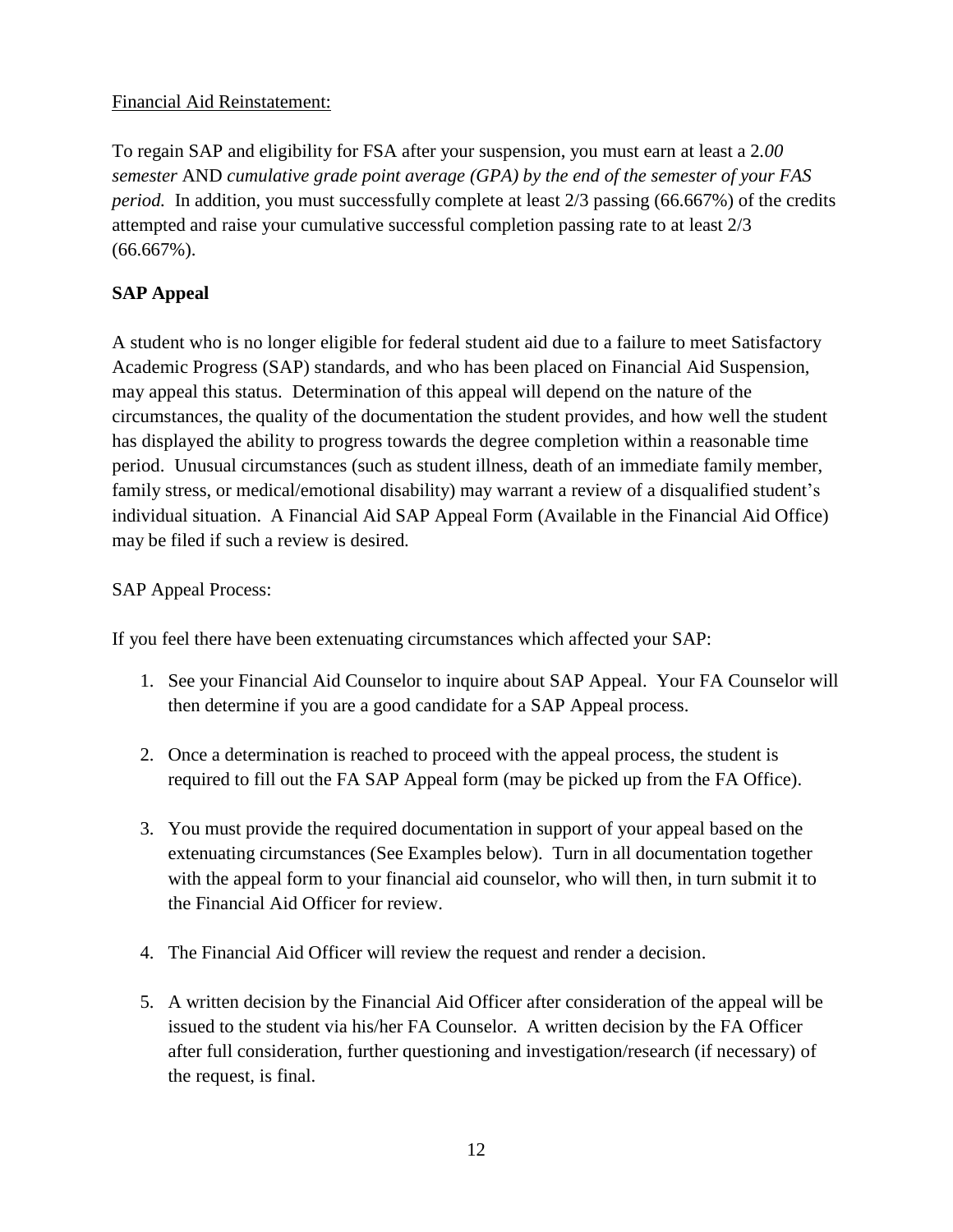#### Financial Aid Reinstatement:

To regain SAP and eligibility for FSA after your suspension, you must earn at least a 2*.00 semester* AND *cumulative grade point average (GPA) by the end of the semester of your FAS period.* In addition, you must successfully complete at least 2/3 passing (66.667%) of the credits attempted and raise your cumulative successful completion passing rate to at least 2/3 (66.667%).

#### **SAP Appeal**

A student who is no longer eligible for federal student aid due to a failure to meet Satisfactory Academic Progress (SAP) standards, and who has been placed on Financial Aid Suspension, may appeal this status. Determination of this appeal will depend on the nature of the circumstances, the quality of the documentation the student provides, and how well the student has displayed the ability to progress towards the degree completion within a reasonable time period. Unusual circumstances (such as student illness, death of an immediate family member, family stress, or medical/emotional disability) may warrant a review of a disqualified student's individual situation. A Financial Aid SAP Appeal Form (Available in the Financial Aid Office) may be filed if such a review is desired.

#### SAP Appeal Process:

If you feel there have been extenuating circumstances which affected your SAP:

- 1. See your Financial Aid Counselor to inquire about SAP Appeal. Your FA Counselor will then determine if you are a good candidate for a SAP Appeal process.
- 2. Once a determination is reached to proceed with the appeal process, the student is required to fill out the FA SAP Appeal form (may be picked up from the FA Office).
- 3. You must provide the required documentation in support of your appeal based on the extenuating circumstances (See Examples below). Turn in all documentation together with the appeal form to your financial aid counselor, who will then, in turn submit it to the Financial Aid Officer for review.
- 4. The Financial Aid Officer will review the request and render a decision.
- 5. A written decision by the Financial Aid Officer after consideration of the appeal will be issued to the student via his/her FA Counselor. A written decision by the FA Officer after full consideration, further questioning and investigation/research (if necessary) of the request, is final.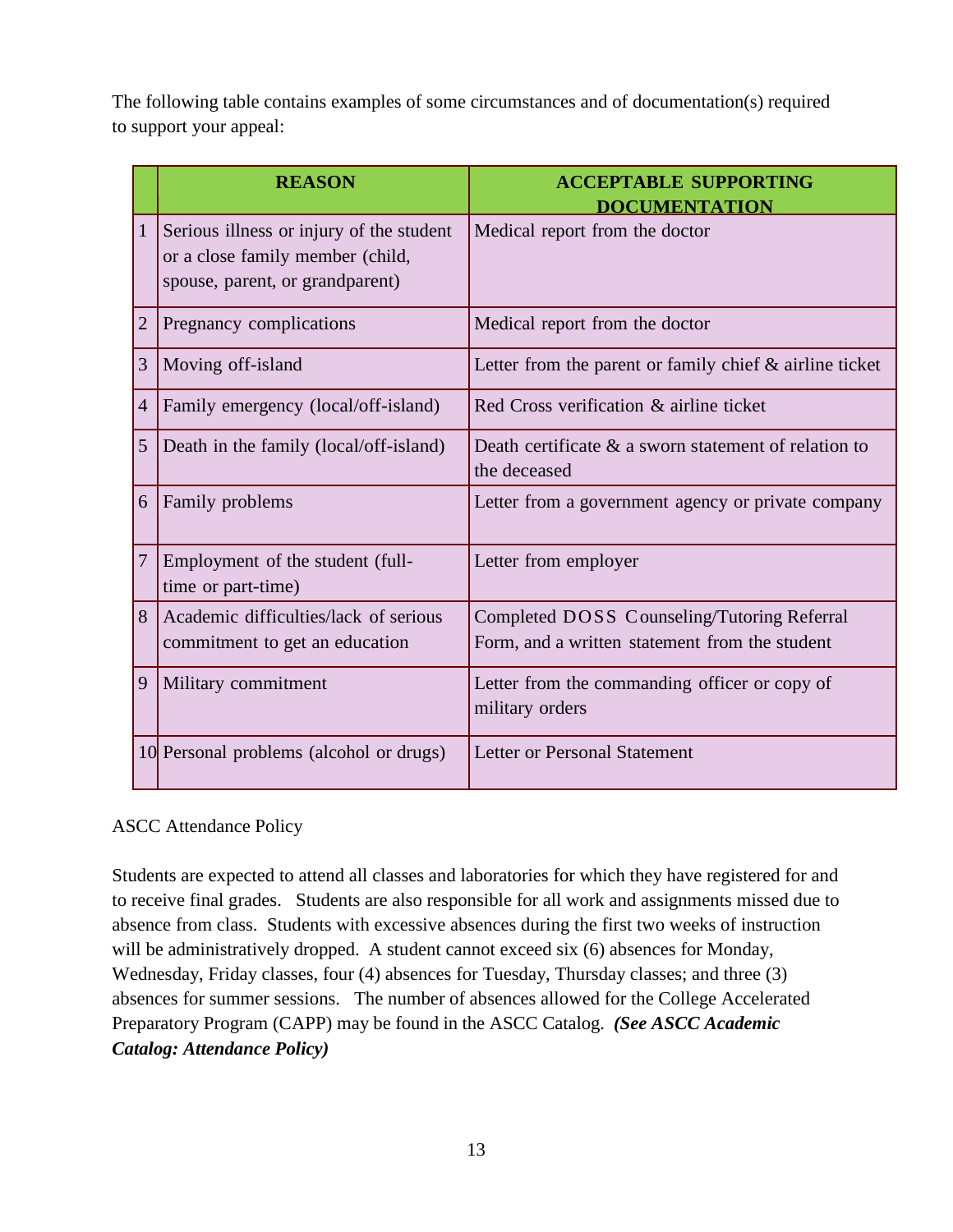The following table contains examples of some circumstances and of documentation(s) required to support your appeal:

|                | <b>REASON</b>                                                                                                   | <b>ACCEPTABLE SUPPORTING</b><br><b>DOCUMENTATION</b>                                          |
|----------------|-----------------------------------------------------------------------------------------------------------------|-----------------------------------------------------------------------------------------------|
| $\mathbf{1}$   | Serious illness or injury of the student<br>or a close family member (child,<br>spouse, parent, or grandparent) | Medical report from the doctor                                                                |
| $\overline{2}$ | Pregnancy complications                                                                                         | Medical report from the doctor                                                                |
| 3              | Moving off-island                                                                                               | Letter from the parent or family chief $\&$ airline ticket                                    |
| $\overline{4}$ | Family emergency (local/off-island)                                                                             | Red Cross verification & airline ticket                                                       |
| 5              | Death in the family (local/off-island)                                                                          | Death certificate $\&$ a sworn statement of relation to<br>the deceased                       |
| 6              | Family problems                                                                                                 | Letter from a government agency or private company                                            |
| 7              | Employment of the student (full-<br>time or part-time)                                                          | Letter from employer                                                                          |
| 8              | Academic difficulties/lack of serious<br>commitment to get an education                                         | Completed DOSS Counseling/Tutoring Referral<br>Form, and a written statement from the student |
| 9              | Military commitment                                                                                             | Letter from the commanding officer or copy of<br>military orders                              |
|                | 10 Personal problems (alcohol or drugs)                                                                         | Letter or Personal Statement                                                                  |

#### ASCC Attendance Policy

Students are expected to attend all classes and laboratories for which they have registered for and to receive final grades. Students are also responsible for all work and assignments missed due to absence from class. Students with excessive absences during the first two weeks of instruction will be administratively dropped. A student cannot exceed six (6) absences for Monday, Wednesday, Friday classes, four (4) absences for Tuesday, Thursday classes; and three (3) absences for summer sessions. The number of absences allowed for the College Accelerated Preparatory Program (CAPP) may be found in the ASCC Catalog. *(See ASCC Academic Catalog: Attendance Policy)*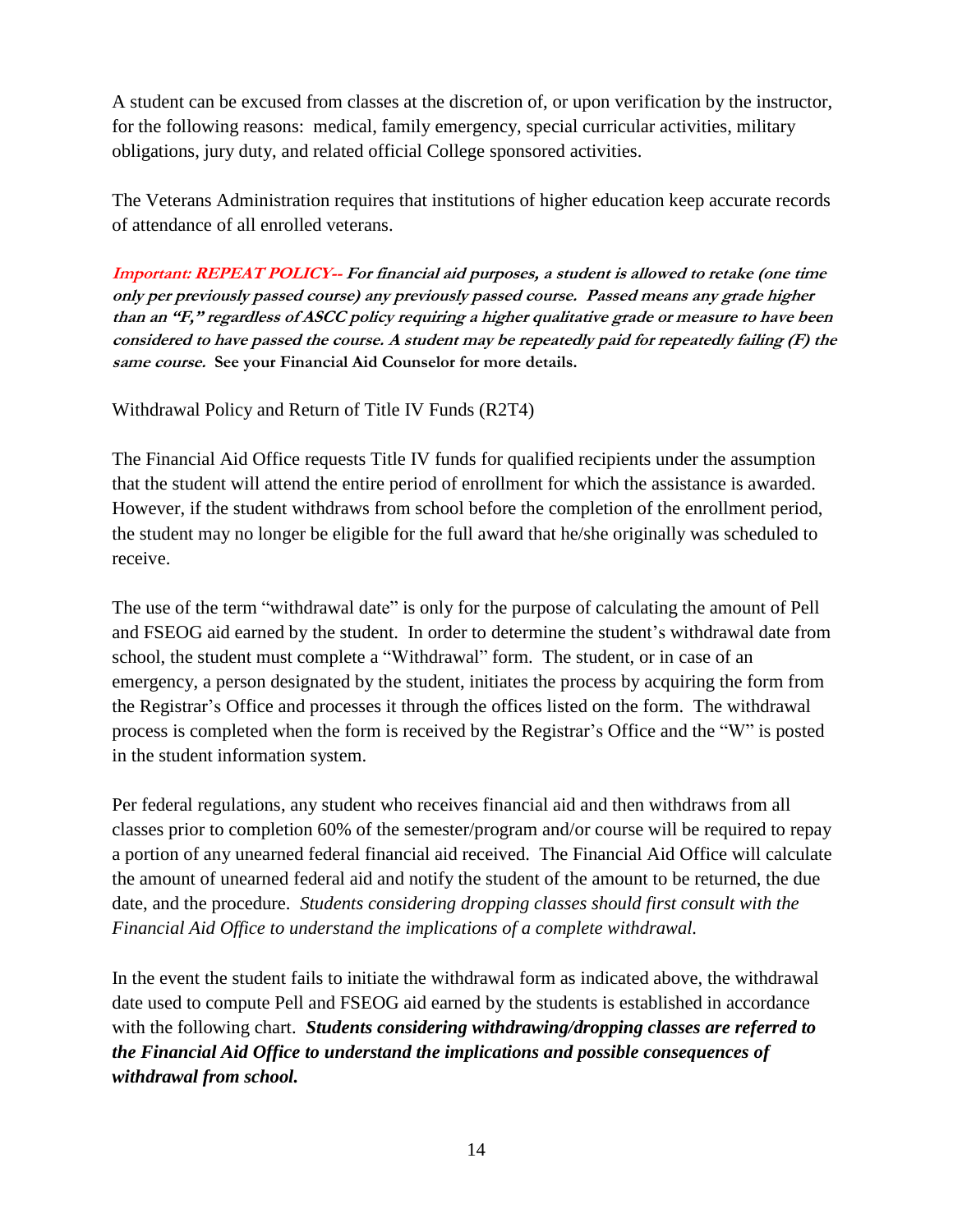A student can be excused from classes at the discretion of, or upon verification by the instructor, for the following reasons: medical, family emergency, special curricular activities, military obligations, jury duty, and related official College sponsored activities.

The Veterans Administration requires that institutions of higher education keep accurate records of attendance of all enrolled veterans.

**Important: REPEAT POLICY-- For financial aid purposes, <sup>a</sup> student is allowed to retake (one time only per previously passed course) any previously passed course. Passed means any grade higher than an "F," regardless of ASCC policy requiring a higher qualitative grade or measure to have been considered to have passed the course. A student may be repeatedly paid for repeatedly failing (F) the same course. See your Financial Aid Counselor for more details.**

Withdrawal Policy and Return of Title IV Funds (R2T4)

The Financial Aid Office requests Title IV funds for qualified recipients under the assumption that the student will attend the entire period of enrollment for which the assistance is awarded. However, if the student withdraws from school before the completion of the enrollment period, the student may no longer be eligible for the full award that he/she originally was scheduled to receive.

The use of the term "withdrawal date" is only for the purpose of calculating the amount of Pell and FSEOG aid earned by the student. In order to determine the student's withdrawal date from school, the student must complete a "Withdrawal" form. The student, or in case of an emergency, a person designated by the student, initiates the process by acquiring the form from the Registrar's Office and processes it through the offices listed on the form. The withdrawal process is completed when the form is received by the Registrar's Office and the "W" is posted in the student information system.

Per federal regulations, any student who receives financial aid and then withdraws from all classes prior to completion 60% of the semester/program and/or course will be required to repay a portion of any unearned federal financial aid received. The Financial Aid Office will calculate the amount of unearned federal aid and notify the student of the amount to be returned, the due date, and the procedure. *Students considering dropping classes should first consult with the Financial Aid Office to understand the implications of a complete withdrawal.*

In the event the student fails to initiate the withdrawal form as indicated above, the withdrawal date used to compute Pell and FSEOG aid earned by the students is established in accordance with the following chart. *Students considering withdrawing/dropping classes are referred to the Financial Aid Office to understand the implications and possible consequences of withdrawal from school.*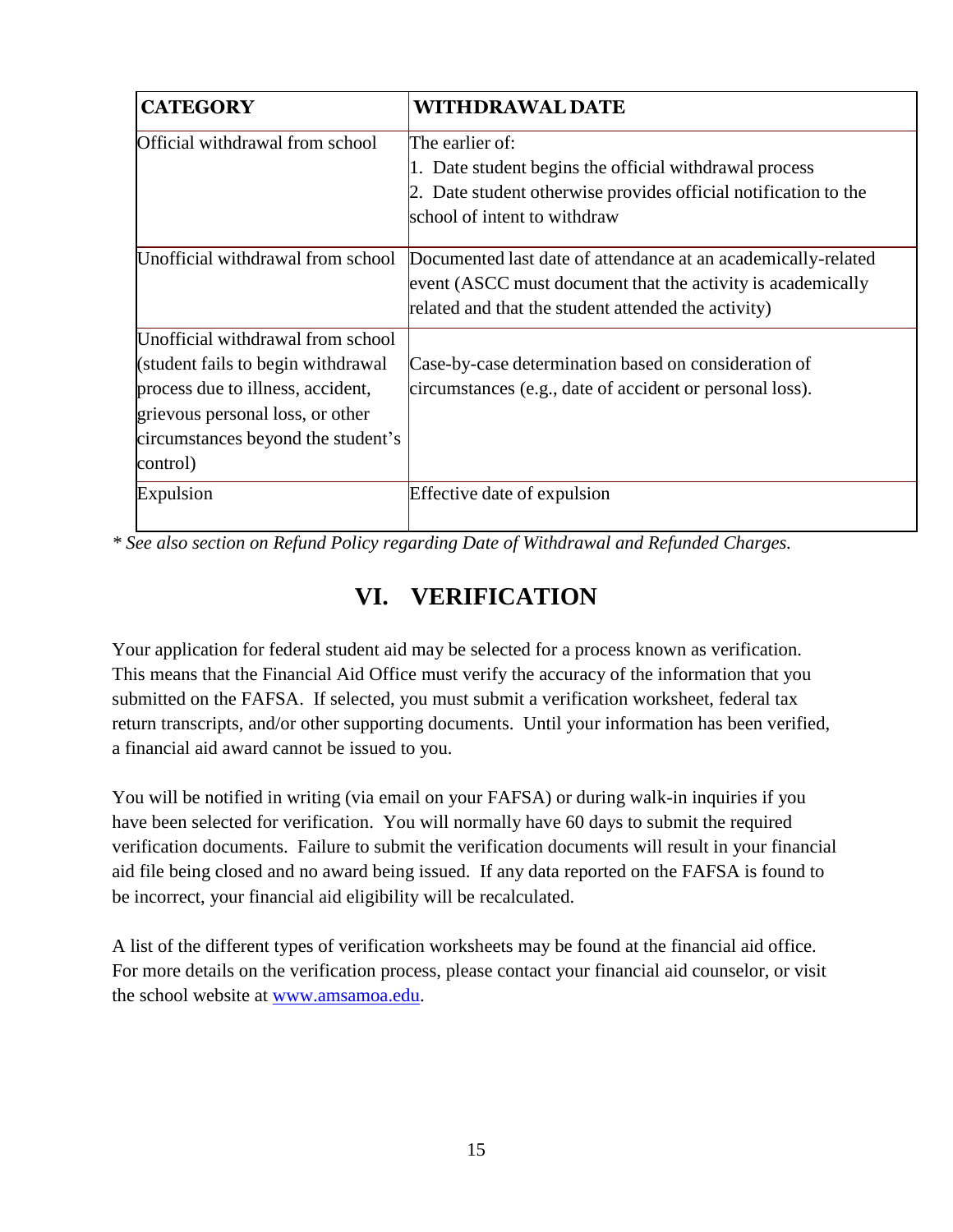| <b>CATEGORY</b>                    | <b>WITHDRAWAL DATE</b>                                          |
|------------------------------------|-----------------------------------------------------------------|
| Official withdrawal from school    | The earlier of:                                                 |
|                                    | Date student begins the official withdrawal process             |
|                                    | 2. Date student otherwise provides official notification to the |
|                                    | school of intent to withdraw                                    |
| Unofficial withdrawal from school  | Documented last date of attendance at an academically-related   |
|                                    | event (ASCC must document that the activity is academically     |
|                                    | related and that the student attended the activity)             |
| Unofficial withdrawal from school  |                                                                 |
| (student fails to begin withdrawal | Case-by-case determination based on consideration of            |
| process due to illness, accident,  | circumstances (e.g., date of accident or personal loss).        |
| grievous personal loss, or other   |                                                                 |
| circumstances beyond the student's |                                                                 |
| control)                           |                                                                 |
| Expulsion                          | Effective date of expulsion                                     |
|                                    |                                                                 |

*\* See also section on Refund Policy regarding Date of Withdrawal and Refunded Charges.*

## **VI. VERIFICATION**

Your application for federal student aid may be selected for a process known as verification. This means that the Financial Aid Office must verify the accuracy of the information that you submitted on the FAFSA. If selected, you must submit a verification worksheet, federal tax return transcripts, and/or other supporting documents. Until your information has been verified, a financial aid award cannot be issued to you.

You will be notified in writing (via email on your FAFSA) or during walk-in inquiries if you have been selected for verification. You will normally have 60 days to submit the required verification documents. Failure to submit the verification documents will result in your financial aid file being closed and no award being issued. If any data reported on the FAFSA is found to be incorrect, your financial aid eligibility will be recalculated.

A list of the different types of verification worksheets may be found at the financial aid office. For more details on the verification process, please contact your financial aid counselor, or visit the school website at [www.amsamoa.edu.](http://www.amsamoa.edu/)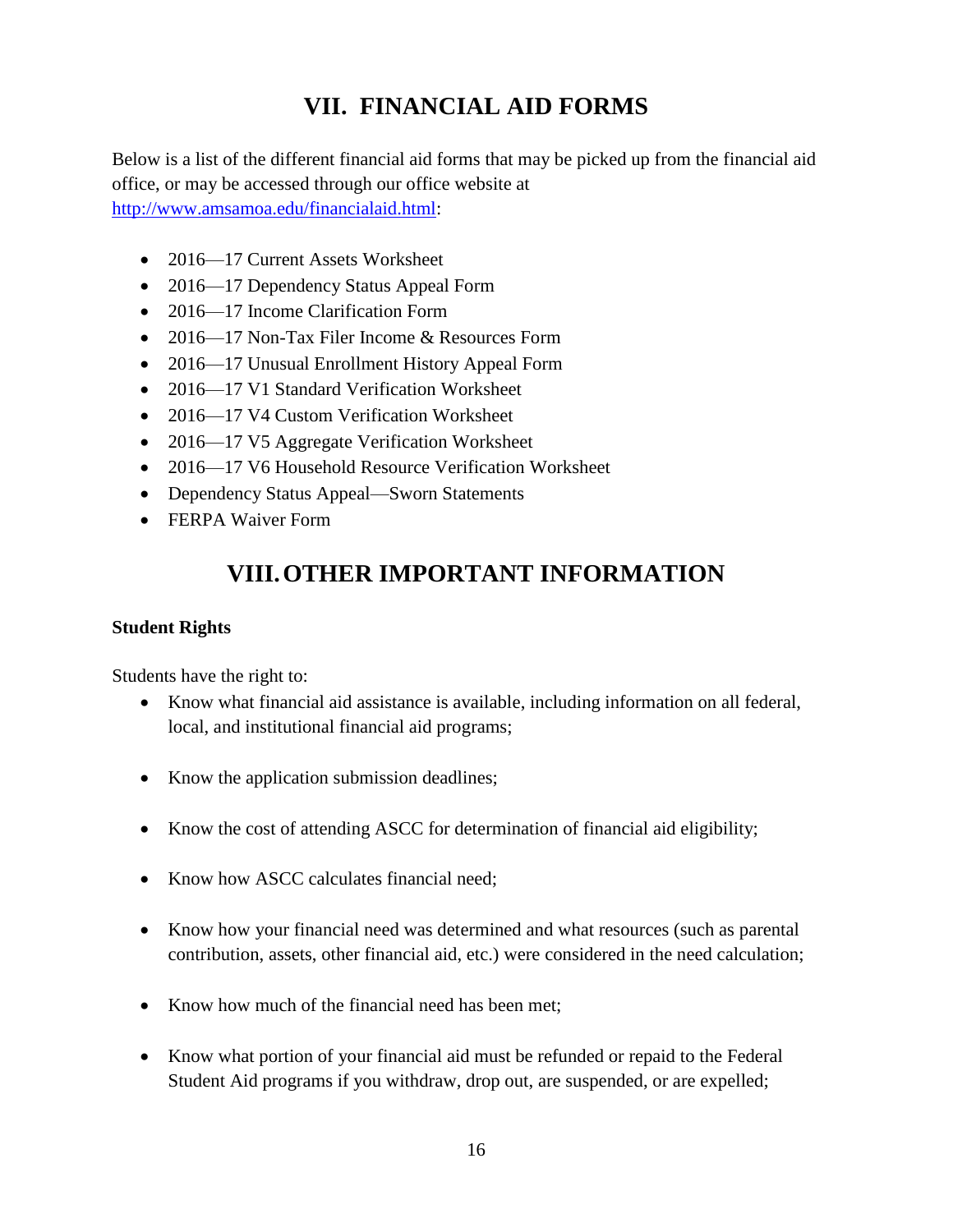## **VII. FINANCIAL AID FORMS**

Below is a list of the different financial aid forms that may be picked up from the financial aid office, or may be accessed through our office website at [http://www.amsamoa.edu/financialaid.html:](http://www.amsamoa.edu/financialaid.html)

- 2016—17 Current Assets Worksheet
- 2016—17 Dependency Status Appeal Form
- 2016—17 Income Clarification Form
- 2016—17 Non-Tax Filer Income & Resources Form
- 2016—17 Unusual Enrollment History Appeal Form
- 2016—17 V1 Standard Verification Worksheet
- 2016—17 V4 Custom Verification Worksheet
- 2016—17 V5 Aggregate Verification Worksheet
- 2016—17 V6 Household Resource Verification Worksheet
- Dependency Status Appeal—Sworn Statements
- FERPA Waiver Form

## **VIII.OTHER IMPORTANT INFORMATION**

#### **Student Rights**

Students have the right to:

- Know what financial aid assistance is available, including information on all federal, local, and institutional financial aid programs;
- Know the application submission deadlines;
- Know the cost of attending ASCC for determination of financial aid eligibility;
- Know how ASCC calculates financial need;
- Know how your financial need was determined and what resources (such as parental contribution, assets, other financial aid, etc.) were considered in the need calculation;
- Know how much of the financial need has been met:
- Know what portion of your financial aid must be refunded or repaid to the Federal Student Aid programs if you withdraw, drop out, are suspended, or are expelled;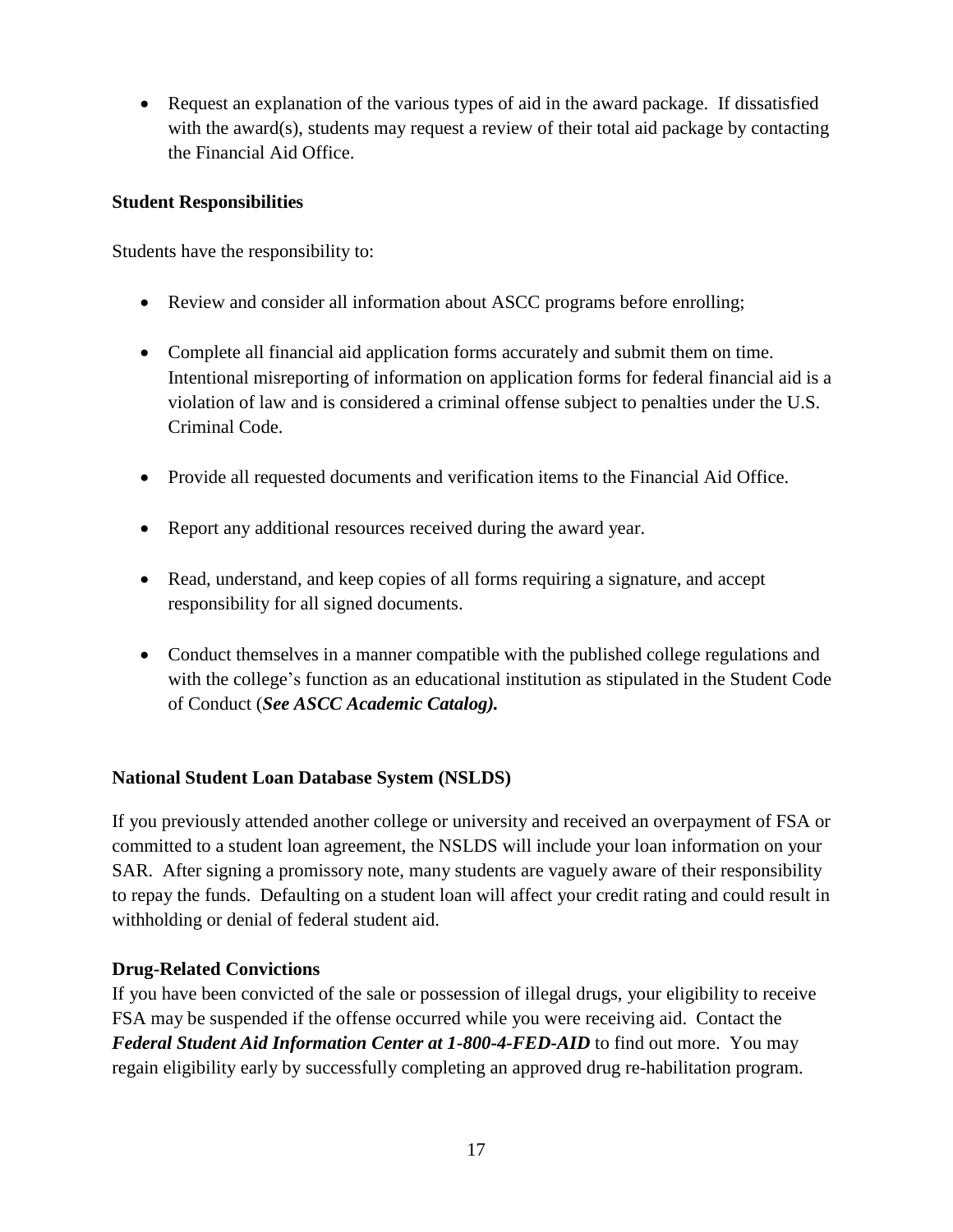Request an explanation of the various types of aid in the award package. If dissatisfied with the award(s), students may request a review of their total aid package by contacting the Financial Aid Office.

#### **Student Responsibilities**

Students have the responsibility to:

- Review and consider all information about ASCC programs before enrolling;
- Complete all financial aid application forms accurately and submit them on time. Intentional misreporting of information on application forms for federal financial aid is a violation of law and is considered a criminal offense subject to penalties under the U.S. Criminal Code.
- Provide all requested documents and verification items to the Financial Aid Office.
- Report any additional resources received during the award year.
- Read, understand, and keep copies of all forms requiring a signature, and accept responsibility for all signed documents.
- Conduct themselves in a manner compatible with the published college regulations and with the college's function as an educational institution as stipulated in the Student Code of Conduct (*See ASCC Academic Catalog).*

#### **National Student Loan Database System (NSLDS)**

If you previously attended another college or university and received an overpayment of FSA or committed to a student loan agreement, the NSLDS will include your loan information on your SAR. After signing a promissory note, many students are vaguely aware of their responsibility to repay the funds. Defaulting on a student loan will affect your credit rating and could result in withholding or denial of federal student aid.

#### **Drug-Related Convictions**

If you have been convicted of the sale or possession of illegal drugs, your eligibility to receive FSA may be suspended if the offense occurred while you were receiving aid. Contact the *Federal Student Aid Information Center at 1-800-4-FED-AID* to find out more. You may regain eligibility early by successfully completing an approved drug re-habilitation program.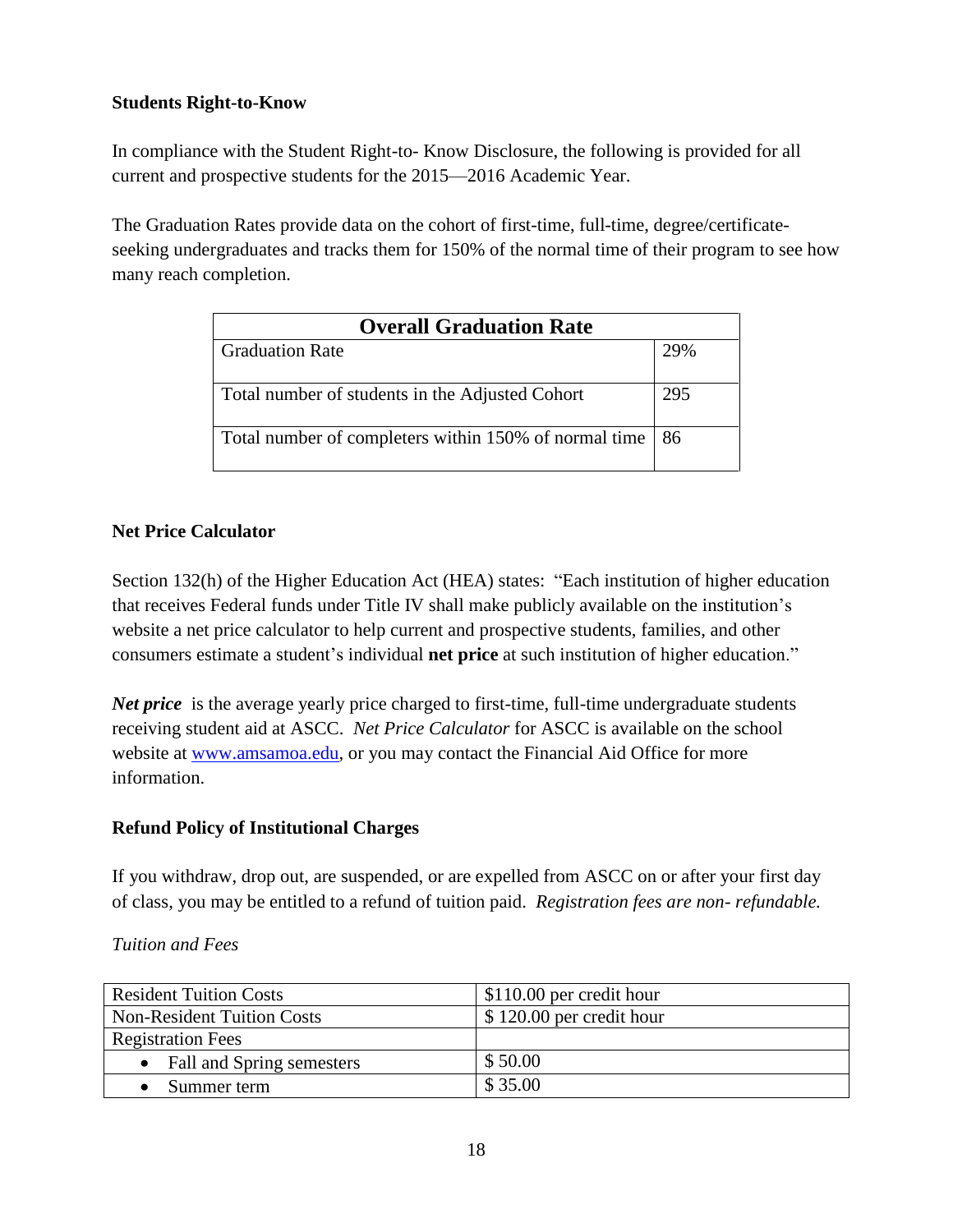#### **Students Right-to-Know**

In compliance with the Student Right-to- Know Disclosure, the following is provided for all current and prospective students for the 2015—2016 Academic Year.

The Graduation Rates provide data on the cohort of first-time, full-time, degree/certificateseeking undergraduates and tracks them for 150% of the normal time of their program to see how many reach completion.

| <b>Overall Graduation Rate</b>                             |     |  |
|------------------------------------------------------------|-----|--|
| <b>Graduation Rate</b>                                     | 29% |  |
| Total number of students in the Adjusted Cohort            | 295 |  |
| Total number of completers within 150% of normal time   86 |     |  |

#### **Net Price Calculator**

Section 132(h) of the Higher Education Act (HEA) states: "Each institution of higher education that receives Federal funds under Title IV shall make publicly available on the institution's website a net price calculator to help current and prospective students, families, and other consumers estimate a student's individual **net price** at such institution of higher education."

*Net price* is the average yearly price charged to first-time, full-time undergraduate students receiving student aid at ASCC. *Net Price Calculator* for ASCC is available on the school website at [www.amsamoa.edu,](http://www.amsamoa.edu/) or you may contact the Financial Aid Office for more information.

#### **Refund Policy of Institutional Charges**

If you withdraw, drop out, are suspended, or are expelled from ASCC on or after your first day of class, you may be entitled to a refund of tuition paid. *Registration fees are non- refundable.*

| <b>Resident Tuition Costs</b>     | $\$\,110.00$ per credit hour |
|-----------------------------------|------------------------------|
| <b>Non-Resident Tuition Costs</b> | \$120.00 per credit hour     |
| <b>Registration Fees</b>          |                              |
| Fall and Spring semesters         | \$50.00                      |
| Summer term                       | \$35.00                      |

#### *Tuition and Fees*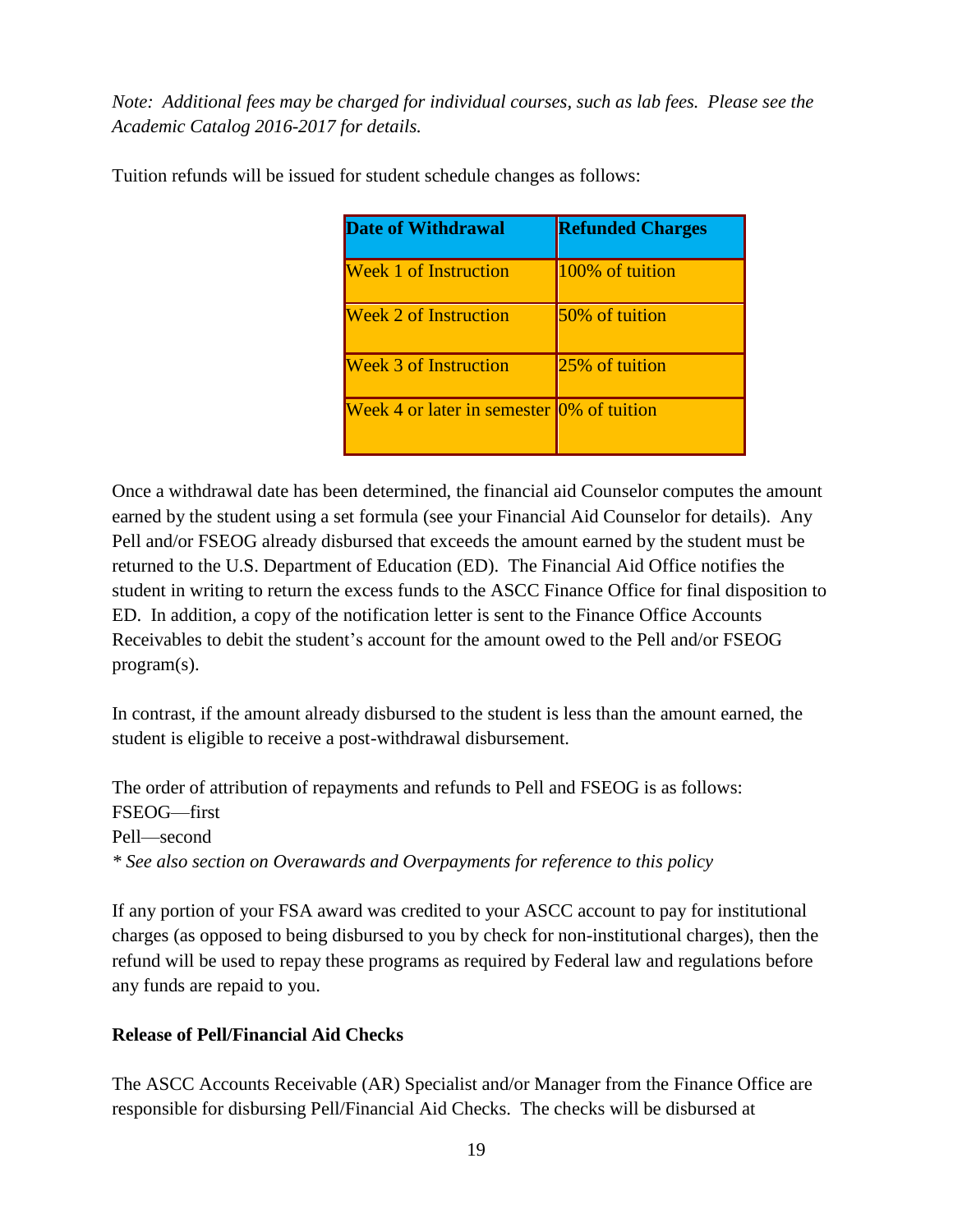*Note: Additional fees may be charged for individual courses, such as lab fees. Please see the Academic Catalog 2016-2017 for details.*

| <b>Date of Withdrawal</b>                 | <b>Refunded Charges</b> |
|-------------------------------------------|-------------------------|
| <b>Week 1 of Instruction</b>              | 100% of tuition         |
| <b>Week 2 of Instruction</b>              | 50% of tuition          |
| <b>Week 3 of Instruction</b>              | 25% of tuition          |
| Week 4 or later in semester 0% of tuition |                         |

Tuition refunds will be issued for student schedule changes as follows:

Once a withdrawal date has been determined, the financial aid Counselor computes the amount earned by the student using a set formula (see your Financial Aid Counselor for details). Any Pell and/or FSEOG already disbursed that exceeds the amount earned by the student must be returned to the U.S. Department of Education (ED). The Financial Aid Office notifies the student in writing to return the excess funds to the ASCC Finance Office for final disposition to ED. In addition, a copy of the notification letter is sent to the Finance Office Accounts Receivables to debit the student's account for the amount owed to the Pell and/or FSEOG program(s).

In contrast, if the amount already disbursed to the student is less than the amount earned, the student is eligible to receive a post-withdrawal disbursement.

The order of attribution of repayments and refunds to Pell and FSEOG is as follows: FSEOG—first Pell—second *\* See also section on Overawards and Overpayments for reference to this policy*

If any portion of your FSA award was credited to your ASCC account to pay for institutional charges (as opposed to being disbursed to you by check for non-institutional charges), then the refund will be used to repay these programs as required by Federal law and regulations before any funds are repaid to you.

#### **Release of Pell/Financial Aid Checks**

The ASCC Accounts Receivable (AR) Specialist and/or Manager from the Finance Office are responsible for disbursing Pell/Financial Aid Checks. The checks will be disbursed at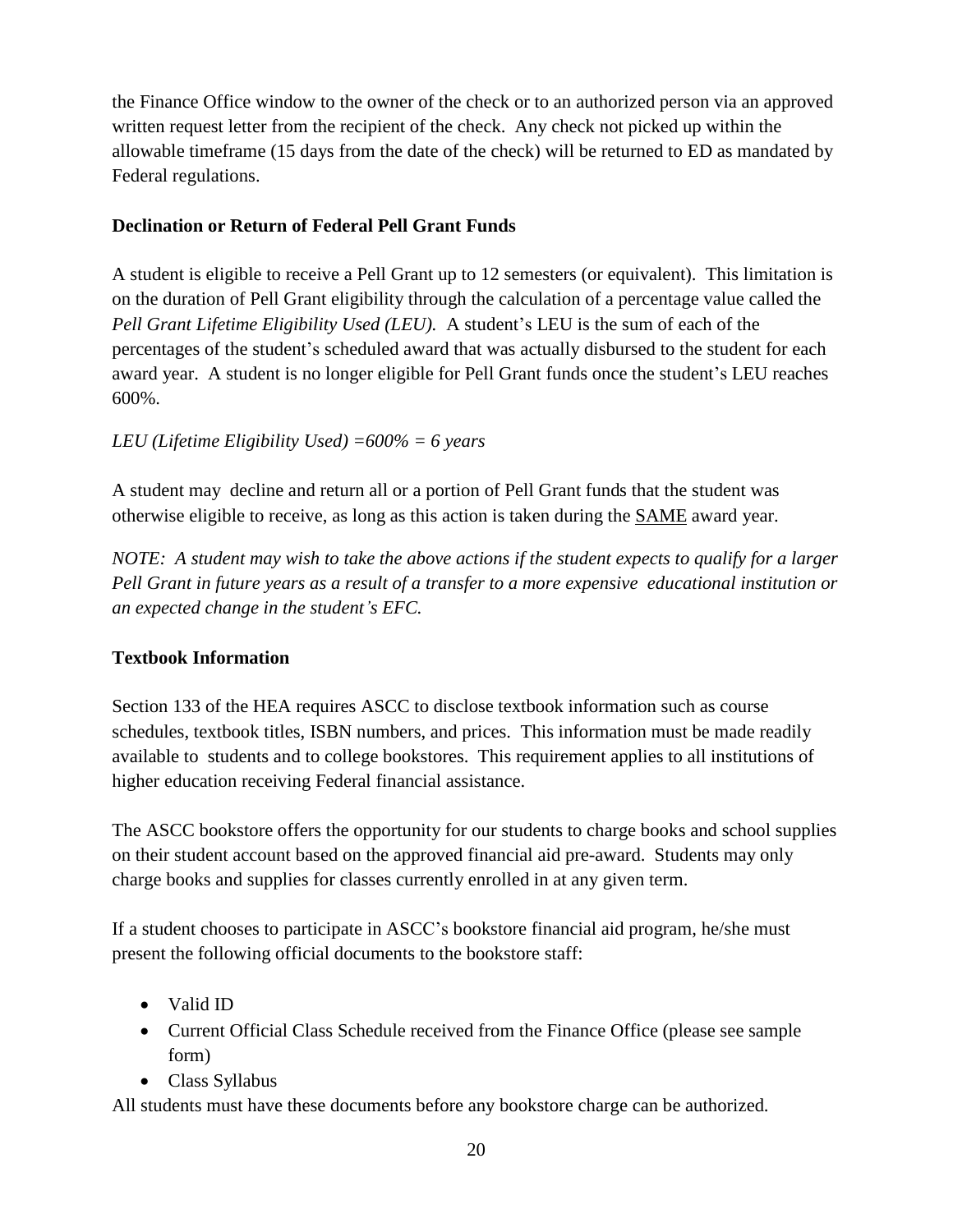the Finance Office window to the owner of the check or to an authorized person via an approved written request letter from the recipient of the check. Any check not picked up within the allowable timeframe (15 days from the date of the check) will be returned to ED as mandated by Federal regulations.

#### **Declination or Return of Federal Pell Grant Funds**

A student is eligible to receive a Pell Grant up to 12 semesters (or equivalent). This limitation is on the duration of Pell Grant eligibility through the calculation of a percentage value called the *Pell Grant Lifetime Eligibility Used (LEU).* A student's LEU is the sum of each of the percentages of the student's scheduled award that was actually disbursed to the student for each award year. A student is no longer eligible for Pell Grant funds once the student's LEU reaches 600%.

#### *LEU (Lifetime Eligibility Used) =600% = 6 years*

A student may decline and return all or a portion of Pell Grant funds that the student was otherwise eligible to receive, as long as this action is taken during the SAME award year.

*NOTE: A student may wish to take the above actions if the student expects to qualify for a larger Pell Grant in future years as a result of a transfer to a more expensive educational institution or an expected change in the student's EFC.*

#### **Textbook Information**

Section 133 of the HEA requires ASCC to disclose textbook information such as course schedules, textbook titles, ISBN numbers, and prices. This information must be made readily available to students and to college bookstores. This requirement applies to all institutions of higher education receiving Federal financial assistance.

The ASCC bookstore offers the opportunity for our students to charge books and school supplies on their student account based on the approved financial aid pre-award. Students may only charge books and supplies for classes currently enrolled in at any given term.

If a student chooses to participate in ASCC's bookstore financial aid program, he/she must present the following official documents to the bookstore staff:

- Valid ID
- Current Official Class Schedule received from the Finance Office (please see sample form)
- Class Syllabus

All students must have these documents before any bookstore charge can be authorized.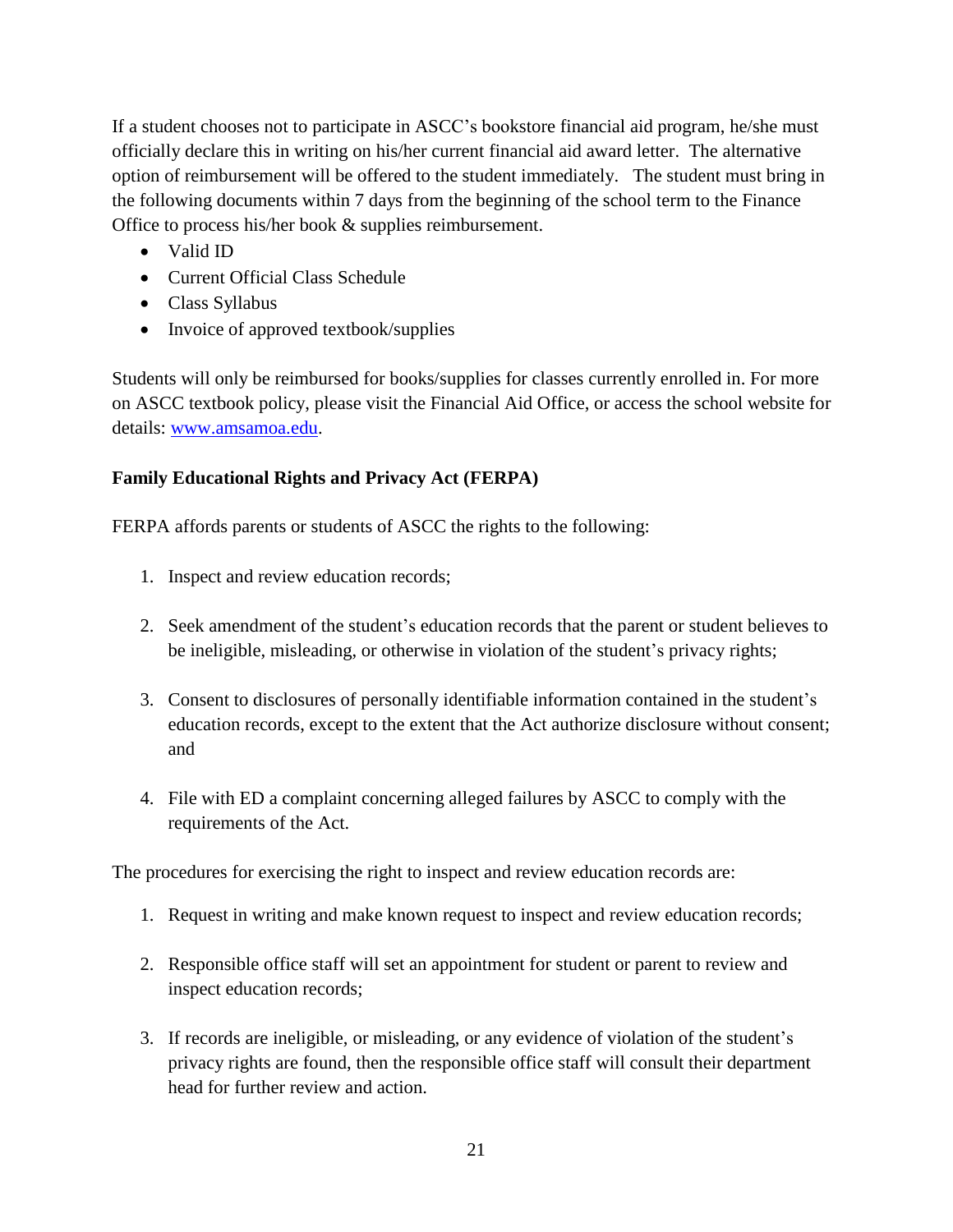If a student chooses not to participate in ASCC's bookstore financial aid program, he/she must officially declare this in writing on his/her current financial aid award letter. The alternative option of reimbursement will be offered to the student immediately. The student must bring in the following documents within 7 days from the beginning of the school term to the Finance Office to process his/her book & supplies reimbursement.

- Valid ID
- Current Official Class Schedule
- Class Syllabus
- Invoice of approved textbook/supplies

Students will only be reimbursed for books/supplies for classes currently enrolled in. For more on ASCC textbook policy, please visit the Financial Aid Office, or access the school website for details: [www.amsamoa.edu.](http://www.amsamoa.edu/)

#### **Family Educational Rights and Privacy Act (FERPA)**

FERPA affords parents or students of ASCC the rights to the following:

- 1. Inspect and review education records;
- 2. Seek amendment of the student's education records that the parent or student believes to be ineligible, misleading, or otherwise in violation of the student's privacy rights;
- 3. Consent to disclosures of personally identifiable information contained in the student's education records, except to the extent that the Act authorize disclosure without consent; and
- 4. File with ED a complaint concerning alleged failures by ASCC to comply with the requirements of the Act.

The procedures for exercising the right to inspect and review education records are:

- 1. Request in writing and make known request to inspect and review education records;
- 2. Responsible office staff will set an appointment for student or parent to review and inspect education records;
- 3. If records are ineligible, or misleading, or any evidence of violation of the student's privacy rights are found, then the responsible office staff will consult their department head for further review and action.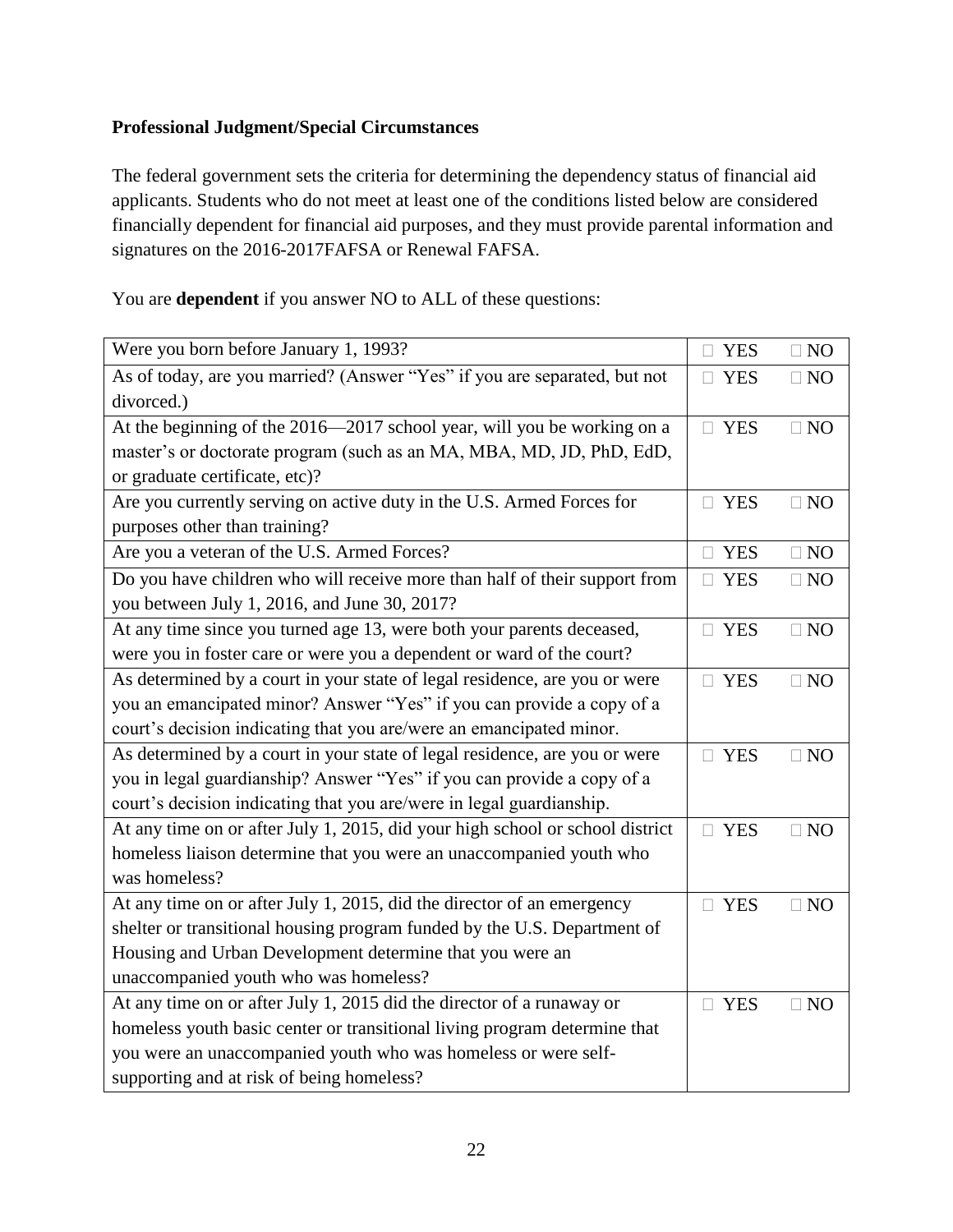#### **Professional Judgment/Special Circumstances**

The federal government sets the criteria for determining the dependency status of financial aid applicants. Students who do not meet at least one of the conditions listed below are considered financially dependent for financial aid purposes, and they must provide parental information and signatures on the 2016-2017FAFSA or Renewal FAFSA.

You are **dependent** if you answer NO to ALL of these questions:

| Were you born before January 1, 1993?                                         | $\Box$ YES       | $\square$ NO |
|-------------------------------------------------------------------------------|------------------|--------------|
| As of today, are you married? (Answer "Yes" if you are separated, but not     | <b>YES</b><br>П. | $\square$ NO |
| divorced.)                                                                    |                  |              |
| At the beginning of the 2016—2017 school year, will you be working on a       | $\Box$ YES       | $\square$ NO |
| master's or doctorate program (such as an MA, MBA, MD, JD, PhD, EdD,          |                  |              |
| or graduate certificate, etc)?                                                |                  |              |
| Are you currently serving on active duty in the U.S. Armed Forces for         | $\Box$ YES       | $\square$ NO |
| purposes other than training?                                                 |                  |              |
| Are you a veteran of the U.S. Armed Forces?                                   | $\Box$ YES       | $\square$ NO |
| Do you have children who will receive more than half of their support from    | $\Box$ YES       | $\square$ NO |
| you between July 1, 2016, and June 30, 2017?                                  |                  |              |
| At any time since you turned age 13, were both your parents deceased,         | $\Box$ YES       | $\square$ NO |
| were you in foster care or were you a dependent or ward of the court?         |                  |              |
| As determined by a court in your state of legal residence, are you or were    | $\Box$ YES       | $\Box$ NO    |
| you an emancipated minor? Answer "Yes" if you can provide a copy of a         |                  |              |
| court's decision indicating that you are/were an emancipated minor.           |                  |              |
| As determined by a court in your state of legal residence, are you or were    | $\Box$ YES       | $\square$ NO |
| you in legal guardianship? Answer "Yes" if you can provide a copy of a        |                  |              |
| court's decision indicating that you are/were in legal guardianship.          |                  |              |
| At any time on or after July 1, 2015, did your high school or school district | $\Box$ YES       | $\Box$ NO    |
| homeless liaison determine that you were an unaccompanied youth who           |                  |              |
| was homeless?                                                                 |                  |              |
| At any time on or after July 1, 2015, did the director of an emergency        | $\Box$ YES       | $\Box$ NO    |
| shelter or transitional housing program funded by the U.S. Department of      |                  |              |
| Housing and Urban Development determine that you were an                      |                  |              |
| unaccompanied youth who was homeless?                                         |                  |              |
| At any time on or after July 1, 2015 did the director of a runaway or         |                  | $\Box$ NO    |
| homeless youth basic center or transitional living program determine that     |                  |              |
| you were an unaccompanied youth who was homeless or were self-                |                  |              |
| supporting and at risk of being homeless?                                     |                  |              |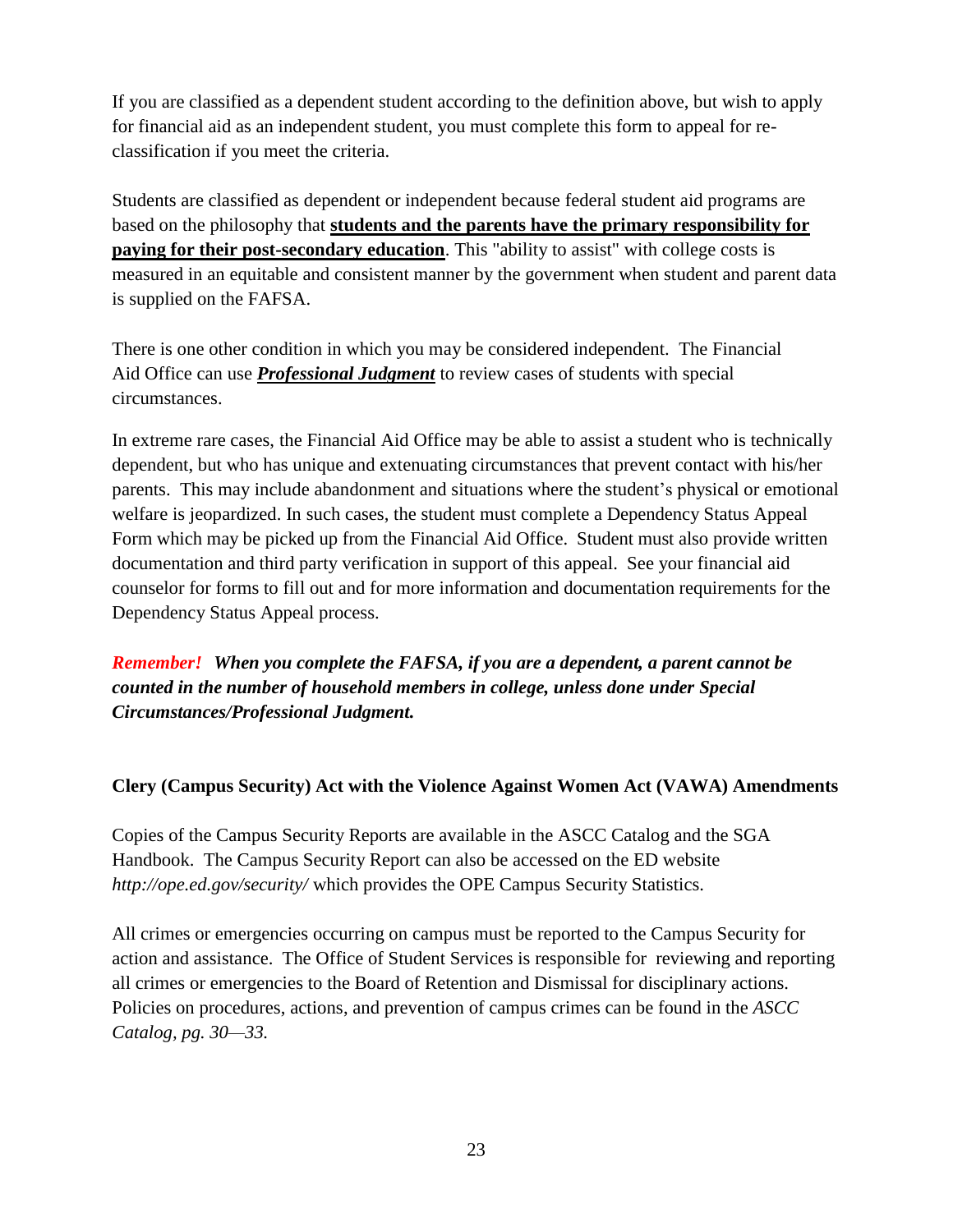If you are classified as a dependent student according to the definition above, but wish to apply for financial aid as an independent student, you must complete this form to appeal for reclassification if you meet the criteria.

Students are classified as dependent or independent because federal student aid programs are based on the philosophy that **students and the parents have the primary responsibility for paying for their post-secondary education**. This "ability to assist" with college costs is measured in an equitable and consistent manner by the government when student and parent data is supplied on the FAFSA.

There is one other condition in which you may be considered independent. The Financial Aid Office can use *Professional Judgment* to review cases of students with special circumstances.

In extreme rare cases, the Financial Aid Office may be able to assist a student who is technically dependent, but who has unique and extenuating circumstances that prevent contact with his/her parents. This may include abandonment and situations where the student's physical or emotional welfare is jeopardized. In such cases, the student must complete a Dependency Status Appeal Form which may be picked up from the Financial Aid Office. Student must also provide written documentation and third party verification in support of this appeal. See your financial aid counselor for forms to fill out and for more information and documentation requirements for the Dependency Status Appeal process.

*Remember! When you complete the FAFSA, if you are a dependent, a parent cannot be counted in the number of household members in college, unless done under Special Circumstances/Professional Judgment.*

#### **Clery (Campus Security) Act with the Violence Against Women Act (VAWA) Amendments**

Copies of the Campus Security Reports are available in the ASCC Catalog and the SGA Handbook. The Campus Security Report can also be accessed on the ED website *[http://ope.ed.gov/security](http://ope.ed.gov/security/)/* which [provides the](http://ope.ed.gov/security/) OPE Campus Security Statistics.

All crimes or emergencies occurring on campus must be reported to the Campus Security for action and assistance. The Office of Student Services is responsible for reviewing and reporting all crimes or emergencies to the Board of Retention and Dismissal for disciplinary actions. Policies on procedures, actions, and prevention of campus crimes can be found in the *ASCC Catalog, pg. 30—33.*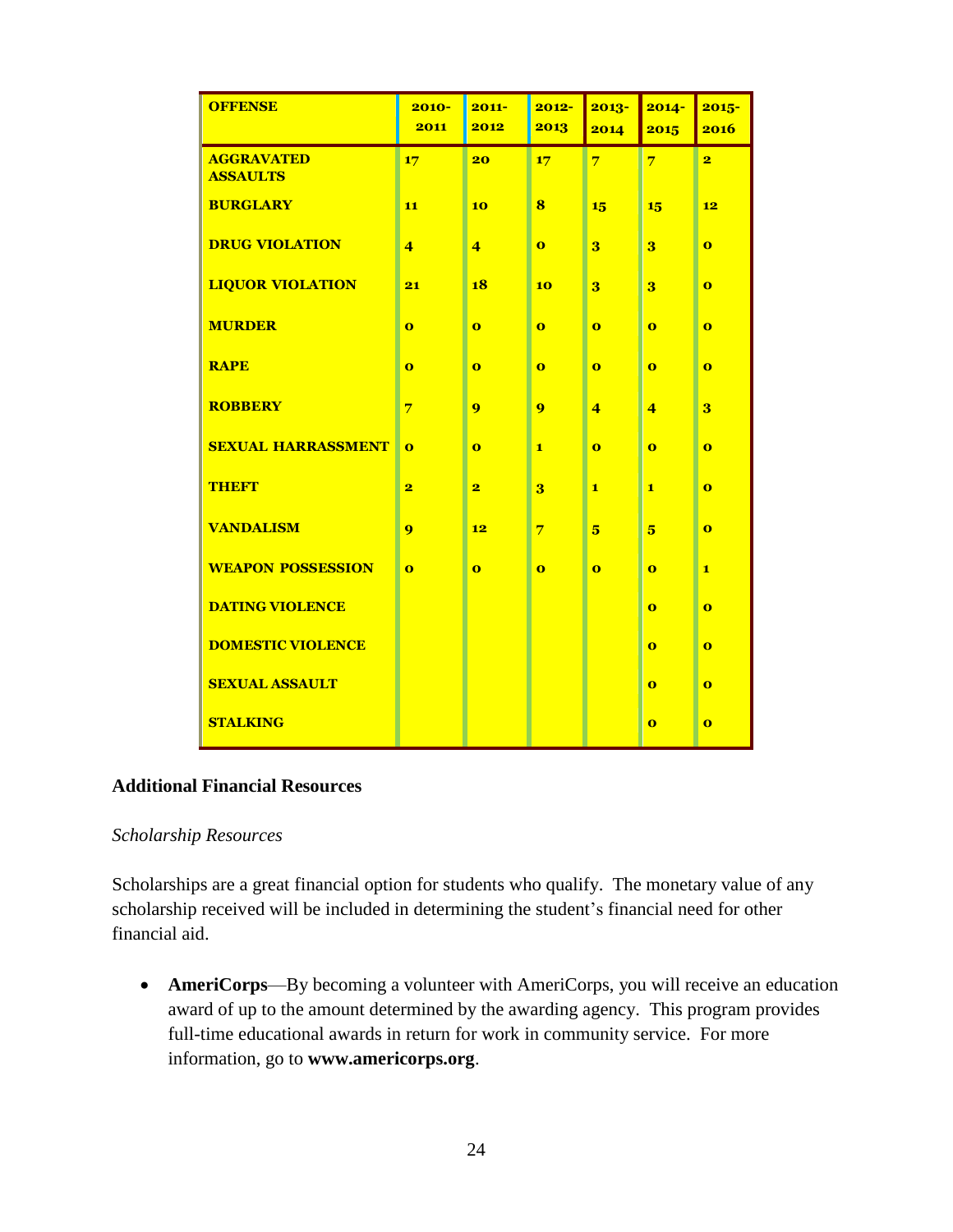| <b>OFFENSE</b>                       | $2010 -$<br>2011        | $2011 -$<br>2012        | $2012 -$<br>2013        | $2013 -$<br>2014        | $2014 -$<br>2015        | $2015 -$<br>2016        |
|--------------------------------------|-------------------------|-------------------------|-------------------------|-------------------------|-------------------------|-------------------------|
|                                      |                         |                         |                         |                         |                         |                         |
| <b>AGGRAVATED</b><br><b>ASSAULTS</b> | 17                      | 20                      | 17                      | $\overline{7}$          | $\overline{7}$          | $\overline{\mathbf{2}}$ |
| <b>BURGLARY</b>                      | 11                      | 10                      | 8                       | 15                      | 15                      | 12                      |
| <b>DRUG VIOLATION</b>                | $\overline{4}$          | $\overline{4}$          | $\mathbf{o}$            | 3                       | 3                       | $\bf{o}$                |
| <b>LIQUOR VIOLATION</b>              | 21                      | 18                      | 10                      | 3                       | 3                       | $\bf{o}$                |
| <b>MURDER</b>                        | $\bf{o}$                | $\bf{o}$                | $\bf{o}$                | $\bf{o}$                | $\bf{o}$                | $\bf{o}$                |
| <b>RAPE</b>                          | $\overline{\mathbf{o}}$ | $\bf{o}$                | $\overline{\mathbf{o}}$ | $\overline{\mathbf{o}}$ | $\overline{\mathbf{o}}$ | $\bf{o}$                |
| <b>ROBBERY</b>                       | $\overline{7}$          | 9                       | 9                       | $\overline{4}$          | $\overline{4}$          | $\overline{\mathbf{3}}$ |
| <b>SEXUAL HARRASSMENT</b>            | $\bf{o}$                | $\bf{o}$                | $\mathbf{1}$            | $\overline{\mathbf{o}}$ | $\bf{o}$                | $\bf{o}$                |
| <b>THEFT</b>                         | $\overline{\mathbf{2}}$ | $\overline{\mathbf{2}}$ | $\overline{\mathbf{3}}$ | $\mathbf{1}$            | $\mathbf{1}$            | $\bf{o}$                |
| <b>VANDALISM</b>                     | 9                       | 12                      | $\overline{7}$          | 5                       | $\overline{\mathbf{5}}$ | $\bf{o}$                |
| <b>WEAPON POSSESSION</b>             | $\bf{o}$                | $\bf{o}$                | $\bf{o}$                | $\bf{o}$                | $\bf{o}$                | $\mathbf{1}$            |
| <b>DATING VIOLENCE</b>               |                         |                         |                         |                         | $\bf{o}$                | $\bf{o}$                |
| <b>DOMESTIC VIOLENCE</b>             |                         |                         |                         |                         | $\bf{o}$                | $\bf{o}$                |
| <b>SEXUAL ASSAULT</b>                |                         |                         |                         |                         | $\bf{o}$                | $\bf{o}$                |
| <b>STALKING</b>                      |                         |                         |                         |                         | $\bf{o}$                | $\bf{o}$                |

#### **Additional Financial Resources**

#### *Scholarship Resources*

Scholarships are a great financial option for students who qualify. The monetary value of any scholarship received will be included in determining the student's financial need for other financial aid.

 **AmeriCorps**—By becoming a volunteer with AmeriCorps, you will receive an education award of up to the amount determined by the awarding agency. This program provides full-time educational awards in return for work in community service. For more information, go to **[www.americorps.org](http://www.americorps.org/)**.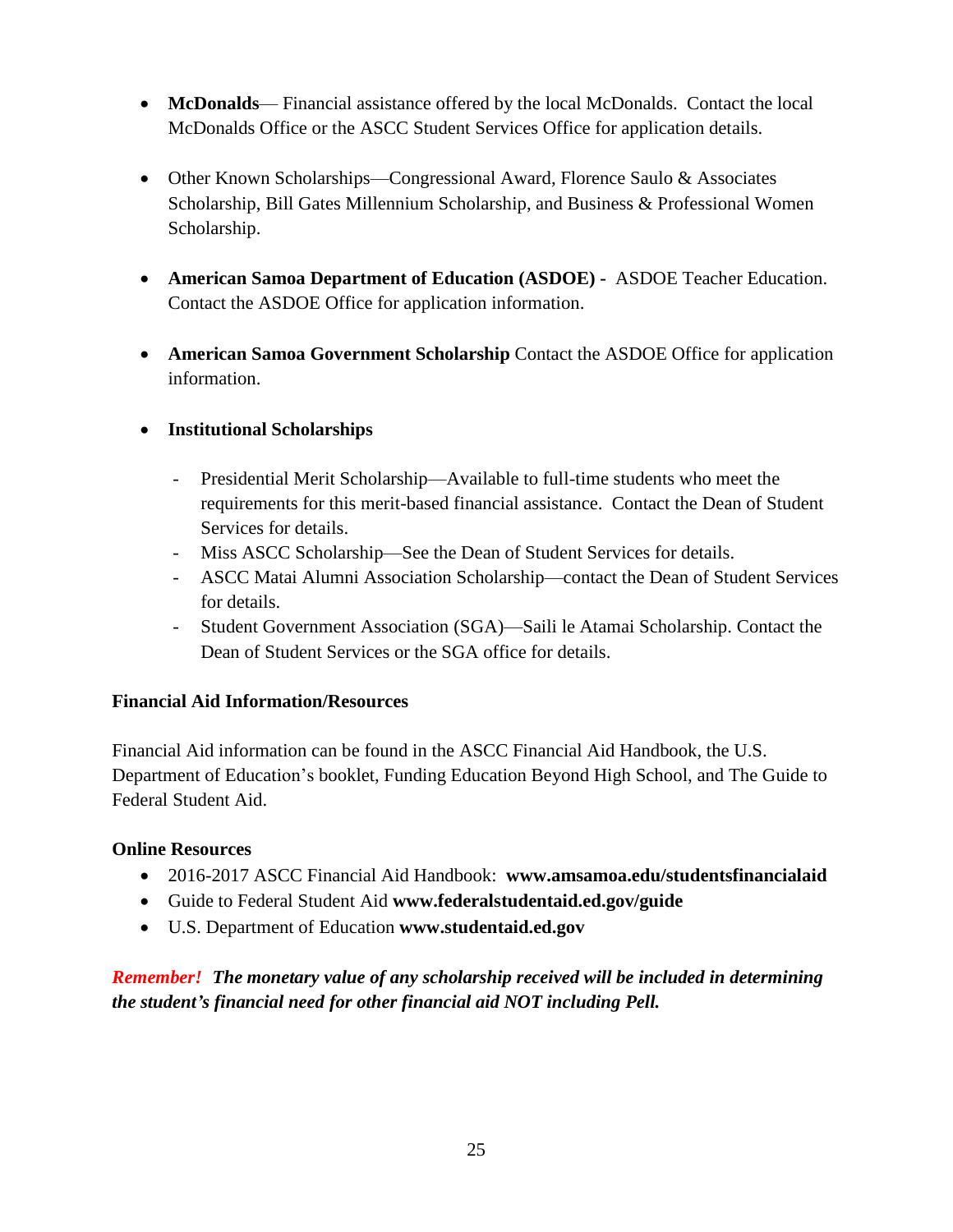- **McDonalds** Financial assistance offered by the local McDonalds. Contact the local McDonalds Office or the ASCC Student Services Office for application details.
- Other Known Scholarships—Congressional Award, Florence Saulo & Associates Scholarship, Bill Gates Millennium Scholarship, and Business & Professional Women Scholarship.
- **American Samoa Department of Education (ASDOE) -** ASDOE Teacher Education. Contact the ASDOE Office for application information.
- **American Samoa Government Scholarship** Contact the ASDOE Office for application information.

#### **Institutional Scholarships**

- Presidential Merit Scholarship—Available to full-time students who meet the requirements for this merit-based financial assistance. Contact the Dean of Student Services for details.
- Miss ASCC Scholarship—See the Dean of Student Services for details.
- ASCC Matai Alumni Association Scholarship—contact the Dean of Student Services for details.
- Student Government Association (SGA)—Saili le Atamai Scholarship. Contact the Dean of Student Services or the SGA office for details.

#### **Financial Aid Information/Resources**

Financial Aid information can be found in the ASCC Financial Aid Handbook, the U.S. Department of Education's booklet, Funding Education Beyond High School, and The Guide to Federal Student Aid.

#### **Online Resources**

- 2016-2017 ASCC Financial Aid Handbook: **[www.amsamoa.edu/studentsfinancialaid](http://www.amsamoa.edu/studentsfinancialaid)**
- Guide to Federal Student Aid **[www.federalstudentaid.ed.gov/guide](http://www.federalstudentaid.ed.gov/guide)**
- U.S. Department of Education **[www.studentaid.ed.gov](http://www.studentaid.ed.gov/)**

*Remember! The monetary value of any scholarship received will be included in determining the student's financial need for other financial aid NOT including Pell.*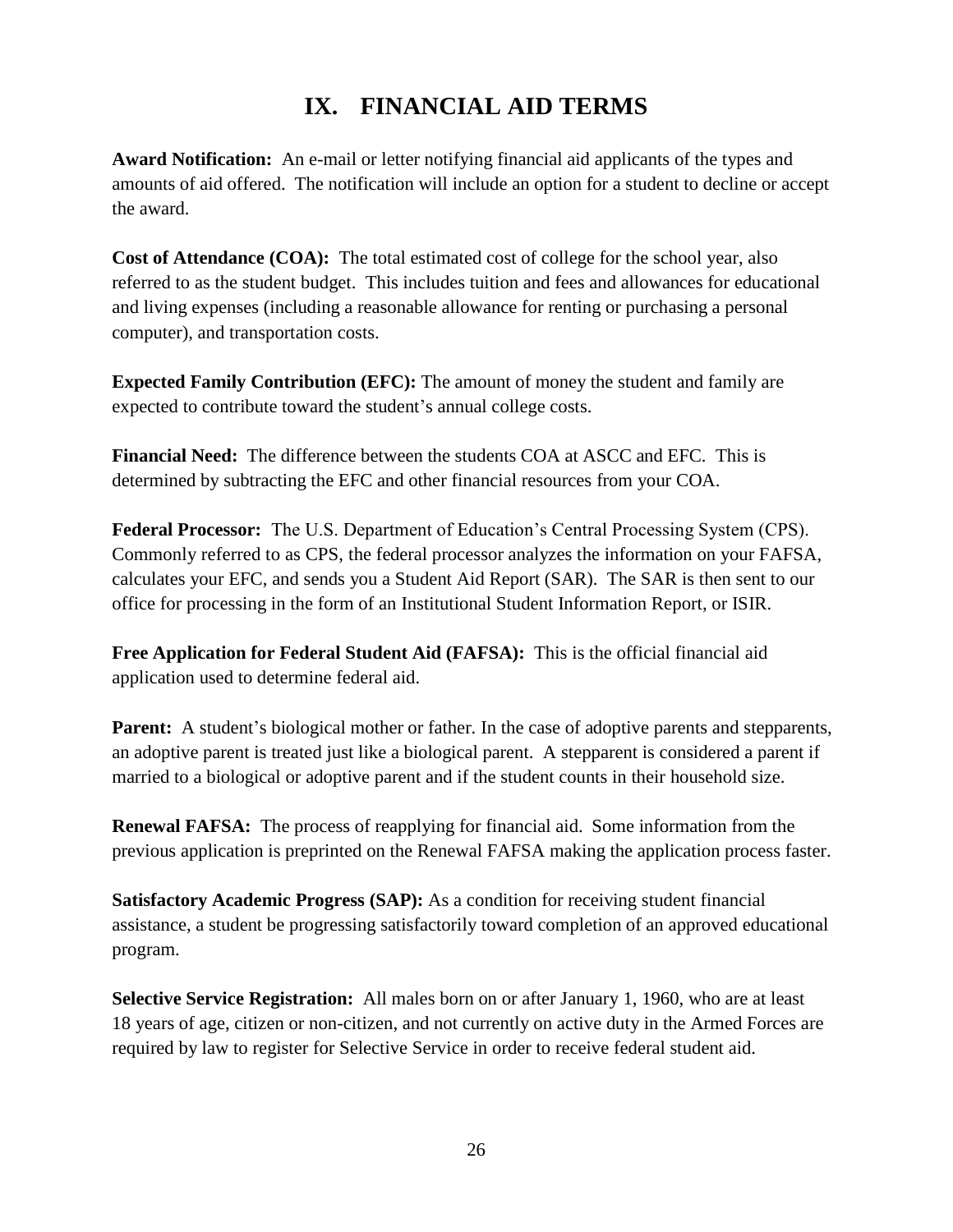## **IX. FINANCIAL AID TERMS**

**Award Notification:** An e-mail or letter notifying financial aid applicants of the types and amounts of aid offered. The notification will include an option for a student to decline or accept the award.

**Cost of Attendance (COA):** The total estimated cost of college for the school year, also referred to as the student budget. This includes tuition and fees and allowances for educational and living expenses (including a reasonable allowance for renting or purchasing a personal computer), and transportation costs.

**Expected Family Contribution (EFC):** The amount of money the student and family are expected to contribute toward the student's annual college costs.

**Financial Need:** The difference between the students COA at ASCC and EFC. This is determined by subtracting the EFC and other financial resources from your COA.

**Federal Processor:** The U.S. Department of Education's Central Processing System (CPS). Commonly referred to as CPS, the federal processor analyzes the information on your FAFSA, calculates your EFC, and sends you a Student Aid Report (SAR). The SAR is then sent to our office for processing in the form of an Institutional Student Information Report, or ISIR.

**Free Application for Federal Student Aid (FAFSA):** This is the official financial aid application used to determine federal aid.

**Parent:** A student's biological mother or father. In the case of adoptive parents and stepparents, an adoptive parent is treated just like a biological parent. A stepparent is considered a parent if married to a biological or adoptive parent and if the student counts in their household size.

**Renewal FAFSA:** The process of reapplying for financial aid. Some information from the previous application is preprinted on the Renewal FAFSA making the application process faster.

**Satisfactory Academic Progress (SAP):** As a condition for receiving student financial assistance, a student be progressing satisfactorily toward completion of an approved educational program.

**Selective Service Registration:** All males born on or after January 1, 1960, who are at least 18 years of age, citizen or non-citizen, and not currently on active duty in the Armed Forces are required by law to register for Selective Service in order to receive federal student aid.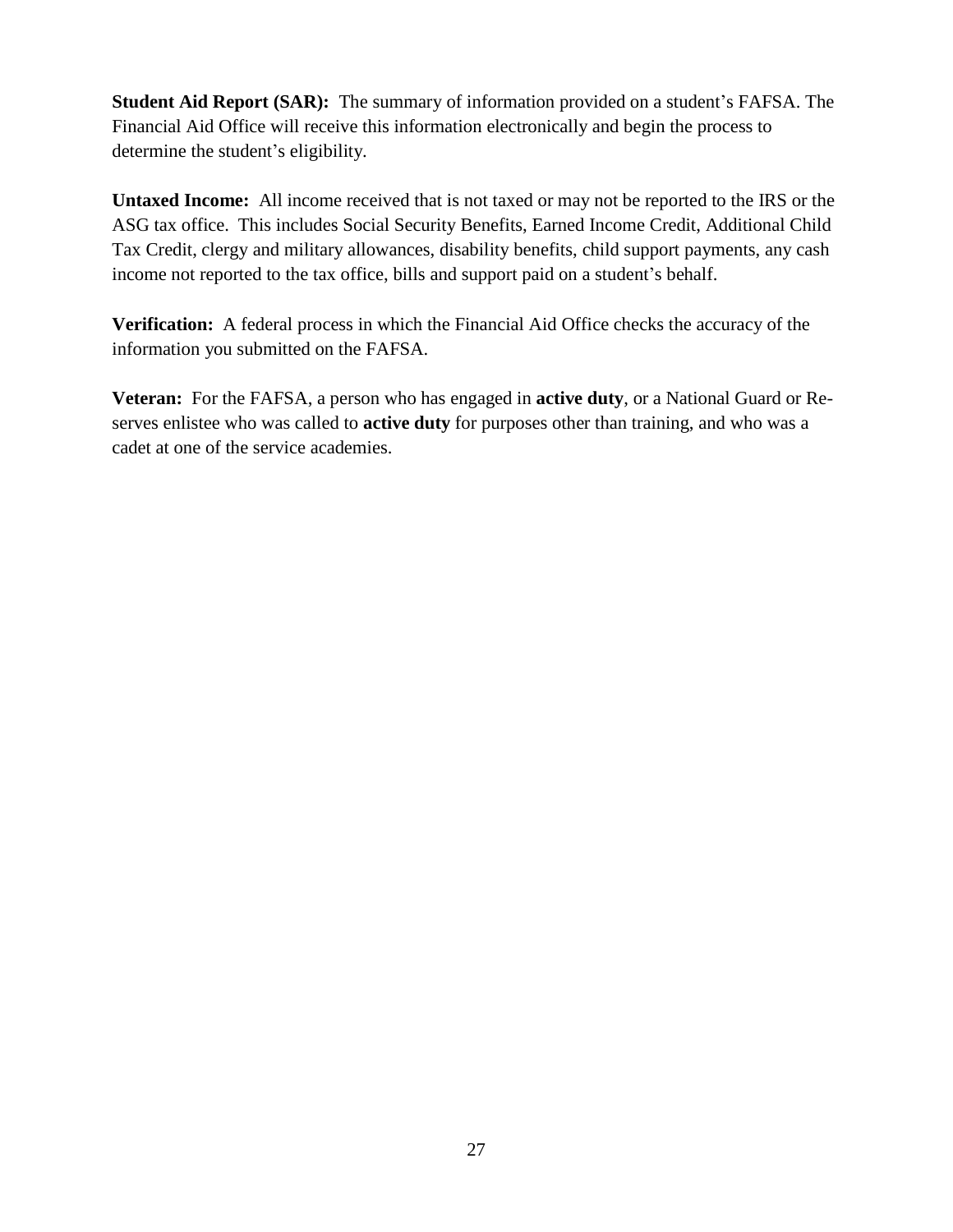**Student Aid Report (SAR):** The summary of information provided on a student's FAFSA. The Financial Aid Office will receive this information electronically and begin the process to determine the student's eligibility.

**Untaxed Income:** All income received that is not taxed or may not be reported to the IRS or the ASG tax office. This includes Social Security Benefits, Earned Income Credit, Additional Child Tax Credit, clergy and military allowances, disability benefits, child support payments, any cash income not reported to the tax office, bills and support paid on a student's behalf.

**Verification:** A federal process in which the Financial Aid Office checks the accuracy of the information you submitted on the FAFSA.

**Veteran:** For the FAFSA, a person who has engaged in **active duty**, or a National Guard or Reserves enlistee who was called to **active duty** for purposes other than training, and who was a cadet at one of the service academies.